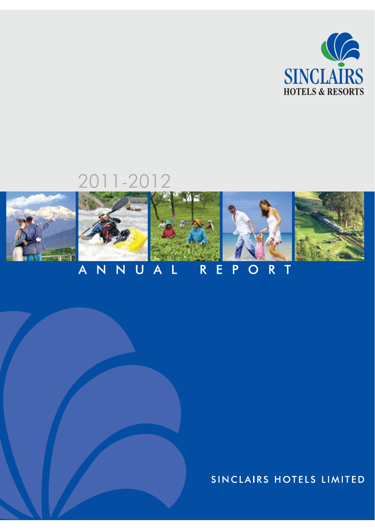

# 2011-2012



SINCLAIRS HOTELS LIMITED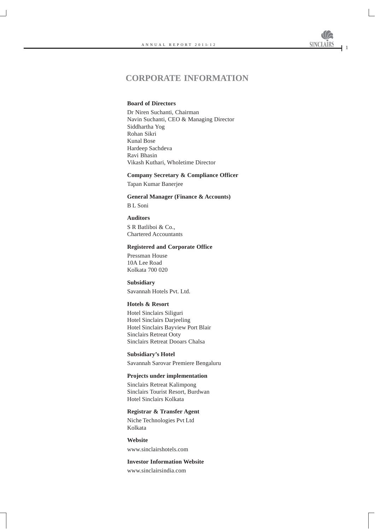

## **CORPORATE INFORMATION**

## **Board of Directors**

Dr Niren Suchanti, Chairman Navin Suchanti, CEO & Managing Director Siddhartha Yog Rohan Sikri Kunal Bose Hardeep Sachdeva Ravi Bhasin Vikash Kuthari, Wholetime Director

## **Company Secretary & Compliance Officer**

Tapan Kumar Banerjee

### **General Manager (Finance & Accounts)**

B L Soni

## **Auditors**

S R Batliboi & Co., Chartered Accountants

#### **Registered and Corporate Office**

Pressman House 10A Lee Road Kolkata 700 020

#### **Subsidiary**

Savannah Hotels Pvt. Ltd.

## **Hotels & Resort**

Hotel Sinclairs Siliguri Hotel Sinclairs Darjeeling Hotel Sinclairs Bayview Port Blair Sinclairs Retreat Ooty Sinclairs Retreat Dooars Chalsa

#### **Subsidiary's Hotel**

Savannah Sarovar Premiere Bengaluru

#### **Projects under implementation**

Sinclairs Retreat Kalimpong Sinclairs Tourist Resort, Burdwan Hotel Sinclairs Kolkata

## **Registrar & Transfer Agent**

Niche Technologies Pvt Ltd Kolkata

**Website**

www.sinclairshotels.com

## **Investor Information Website**

www.sinclairsindia.com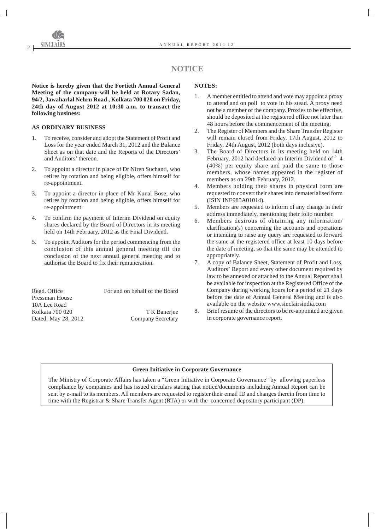

## **NOTICE**

**Notice is hereby given that the Fortieth Annual General Meeting of the company will be held at Rotary Sadan, 94/2, Jawaharlal Nehru Road , Kolkata 700 020 on Friday, 24th day of August 2012 at 10:30 a.m. to transact the following business:**

#### **AS ORDINARY BUSINESS**

- 1. To receive, consider and adopt the Statement of Profit and Loss for the year ended March 31, 2012 and the Balance Sheet as on that date and the Reports of the Directors' and Auditors' thereon.
- 2. To appoint a director in place of Dr Niren Suchanti, who retires by rotation and being eligible, offers himself for re-appointment.
- 3. To appoint a director in place of Mr Kunal Bose, who retires by rotation and being eligible, offers himself for re-appointment.
- 4. To confirm the payment of Interim Dividend on equity shares declared by the Board of Directors in its meeting held on 14th February, 2012 as the Final Dividend.
- 5. To appoint Auditors for the period commencing from the conclusion of this annual general meeting till the conclusion of the next annual general meeting and to authorise the Board to fix their remuneration.

Regd. Office For and on behalf of the Board Pressman House 10A Lee Road Kolkata 700 020 T K Banerjee Dated: May 28, 2012 Company Secretary

#### **NOTES:**

- 1. A member entitled to attend and vote may appoint a proxy to attend and on poll to vote in his stead. A proxy need not be a member of the company. Proxies to be effective, should be deposited at the registered office not later than 48 hours before the commencement of the meeting.
- 2. The Register of Members and the Share Transfer Register will remain closed from Friday, 17th August, 2012 to Friday, 24th August, 2012 (both days inclusive).
- 3. The Board of Directors in its meeting held on 14th February, 2012 had declared an Interim Dividend of ` 4 (40%) per equity share and paid the same to those members, whose names appeared in the register of members as on 29th February, 2012.
- 4. Members holding their shares in physical form are requested to convert their shares into dematerialised form (ISIN INE985A01014).
- 5. Members are requested to inform of any change in their address immediately, mentioning their folio number.
- 6. Members desirous of obtaining any information/ clarification(s) concerning the accounts and operations or intending to raise any query are requested to forward the same at the registered office at least 10 days before the date of meeting, so that the same may be attended to appropriately.
- 7. A copy of Balance Sheet, Statement of Profit and Loss, Auditors' Report and every other document required by law to be annexed or attached to the Annual Report shall be available for inspection at the Registered Office of the Company during working hours for a period of 21 days before the date of Annual General Meeting and is also available on the website www.sinclairsindia.com
- 8. Brief resume of the directors to be re-appointed are given in corporate governance report.

#### **Green Initiative in Corporate Governance**

The Ministry of Corporate Affairs has taken a "Green Initiative in Corporate Governance" by allowing paperless compliance by companies and has issued circulars stating that notice/documents including Annual Report can be sent by e-mail to its members. All members are requested to register their email ID and changes therein from time to time with the Registrar & Share Transfer Agent (RTA) or with the concerned depository participant (DP).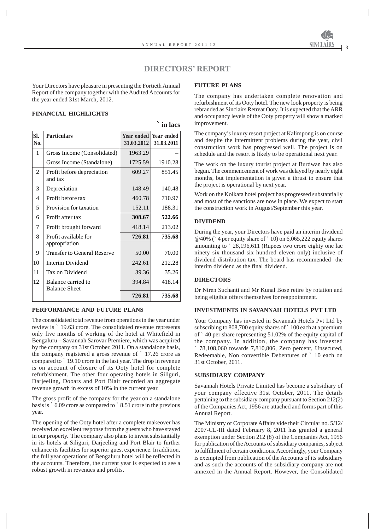` **in lacs**

## **DIRECTORS' REPORT**

Your Directors have pleasure in presenting the Fortieth Annual Report of the company together with the Audited Accounts for the year ended 31st March, 2012.

## **FINANCIAL HIGHLIGHTS**

| SI.<br>No.     | <b>Particulars</b>                         | 31.03.2012 | Year ended Year ended<br>31.03.2011 |
|----------------|--------------------------------------------|------------|-------------------------------------|
| 1              | Gross Income (Consolidated)                | 1963.29    |                                     |
|                | Gross Income (Standalone)                  | 1725.59    | 1910.28                             |
| $\overline{c}$ | Profit before depreciation<br>and tax      | 609.27     | 851.45                              |
| 3              | Depreciation                               | 148.49     | 140.48                              |
| 4              | Profit before tax                          | 460.78     | 710.97                              |
| 5              | Provision for taxation                     | 152.11     | 188.31                              |
| 6              | Profit after tax                           | 308.67     | 522.66                              |
| 7              | Profit brought forward                     | 418.14     | 213.02                              |
| 8              | Profit available for                       | 726.81     | 735.68                              |
|                | appropriation                              |            |                                     |
| 9              | <b>Transfer to General Reserve</b>         | 50.00      | 70.00                               |
| 10             | Interim Dividend                           | 242.61     | 212.28                              |
| 11             | Tax on Dividend                            | 39.36      | 35.26                               |
| 12             | Balance carried to<br><b>Balance Sheet</b> | 394.84     | 418.14                              |
|                |                                            | 726.81     | 735.68                              |

#### **PERFORMANCE AND FUTURE PLANS**

The consolidated total revenue from operations in the year under review is ` 19.63 crore. The consolidated revenue represents only five months of working of the hotel at Whitefield in Bengaluru – Savannah Sarovar Premiere, which was acquired by the company on 31st October, 2011. On a standalone basis, the company registered a gross revenue of ` 17.26 crore as compared to ` 19.10 crore in the last year. The drop in revenue is on account of closure of its Ooty hotel for complete refurbishment. The other four operating hotels in Siliguri, Darjeeling, Dooars and Port Blair recorded an aggregate revenue growth in excess of 10% in the current year.

The gross profit of the company for the year on a standalone basis is ` 6.09 crore as compared to ` 8.51 crore in the previous year.

The opening of the Ooty hotel after a complete makeover has received an excellent response from the guests who have stayed in our property. The company also plans to invest substantially in its hotels at Siliguri, Darjeeling and Port Blair to further enhance its facilities for superior guest experience. In addition, the full year operations of Bengaluru hotel will be reflected in the accounts. Therefore, the current year is expected to see a robust growth in revenues and profits.

## **FUTURE PLANS**

The company has undertaken complete renovation and refurbishment of its Ooty hotel. The new look property is being rebranded as Sinclairs Retreat Ooty. It is expected that the ARR and occupancy levels of the Ooty property will show a marked improvement.

The company's luxury resort project at Kalimpong is on course and despite the intermittent problems during the year, civil construction work has progressed well. The project is on schedule and the resort is likely to be operational next year.

The work on the luxury tourist project at Burdwan has also begun. The commencement of work was delayed by nearly eight months, but implementation is given a thrust to ensure that the project is operational by next year.

Work on the Kolkata hotel project has progressed substantially and most of the sanctions are now in place. We expect to start the construction work in August/September this year.

#### **DIVIDEND**

During the year, your Directors have paid an interim dividend  $@40\%$  ( $@4$  per equity share of  $@10$ ) on 6,065,222 equity shares amounting to ` 28,196,611 (Rupees two crore eighty one lac ninety six thousand six hundred eleven only) inclusive of dividend distribution tax. The board has recommended the interim dividend as the final dividend.

## **DIRECTORS**

Dr Niren Suchanti and Mr Kunal Bose retire by rotation and being eligible offers themselves for reappointment.

#### **INVESTMENTS IN SAVANNAH HOTELS PVT LTD**

Your Company has invested in Savannah Hotels Pvt Ltd by subscribing to 808,700 equity shares of ` 100 each at a premium of ` 40 per share representing 51.02% of the equity capital of the company. In addition, the company has invested ` 78,108,060 towards 7,810,806, Zero percent, Unsecured,

Redeemable, Non convertible Debentures of ` 10 each on 31st October, 2011.

## **SUBSIDIARY COMPANY**

Savannah Hotels Private Limited has become a subsidiary of your company effective 31st October, 2011. The details pertaining to the subsidiary company pursuant to Section 212(2) of the Companies Act, 1956 are attached and forms part of this Annual Report.

The Ministry of Corporate Affairs vide their Circular no. 5/12/ 2007-CL-III dated February 8, 2011 has granted a general exemption under Section 212 (8) of the Companies Act, 1956 for publication of the Accounts of subsidiary companies, subject to fulfillment of certain conditions. Accordingly, your Company is exempted from publication of the Accounts of its subsidiary and as such the accounts of the subsidiary company are not annexed in the Annual Report. However, the Consolidated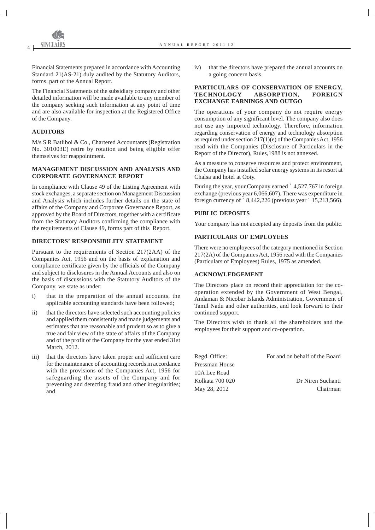

Financial Statements prepared in accordance with Accounting Standard 21(AS-21) duly audited by the Statutory Auditors, forms part of the Annual Report.

The Financial Statements of the subsidiary company and other detailed information will be made available to any member of the company seeking such information at any point of time and are also available for inspection at the Registered Office of the Company.

#### **AUDITORS**

M/s S R Batliboi & Co., Chartered Accountants (Registration No. 301003E) retire by rotation and being eligible offer themselves for reappointment.

## **MANAGEMENT DISCUSSION AND ANALYSIS AND CORPORATE GOVERNANCE REPORT**

In compliance with Clause 49 of the Listing Agreement with stock exchanges, a separate section on Management Discussion and Analysis which includes further details on the state of affairs of the Company and Corporate Governance Report, as approved by the Board of Directors, together with a certificate from the Statutory Auditors confirming the compliance with the requirements of Clause 49, forms part of this Report.

#### **DIRECTORS' RESPONSIBILITY STATEMENT**

Pursuant to the requirements of Section 217(2AA) of the Companies Act, 1956 and on the basis of explanation and compliance certificate given by the officials of the Company and subject to disclosures in the Annual Accounts and also on the basis of discussions with the Statutory Auditors of the Company, we state as under:

- i) that in the preparation of the annual accounts, the applicable accounting standards have been followed;
- ii) that the directors have selected such accounting policies and applied them consistently and made judgements and estimates that are reasonable and prudent so as to give a true and fair view of the state of affairs of the Company and of the profit of the Company for the year ended 31st March, 2012.
- iii) that the directors have taken proper and sufficient care for the maintenance of accounting records in accordance with the provisions of the Companies Act, 1956 for safeguarding the assets of the Company and for preventing and detecting fraud and other irregularities; and

iv) that the directors have prepared the annual accounts on a going concern basis.

## **PARTICULARS OF CONSERVATION OF ENERGY,<br>TECHNOLOGY ABSORPTION. FOREIGN TECHNOLOGY EXCHANGE EARNINGS AND OUTGO**

The operations of your company do not require energy consumption of any significant level. The company also does not use any imported technology. Therefore, information regarding conservation of energy and technology absorption as required under section 217(1)(e) of the Companies Act, 1956 read with the Companies (Disclosure of Particulars in the Report of the Director), Rules,1988 is not annexed.

As a measure to conserve resources and protect environment, the Company has installed solar energy systems in its resort at Chalsa and hotel at Ooty.

During the year, your Company earned ` 4,527,767 in foreign exchange (previous year 6,066,607). There was expenditure in foreign currency of  $\degree$  8,442,226 (previous year  $\degree$  15,213,566).

#### **PUBLIC DEPOSITS**

Your company has not accepted any deposits from the public.

## **PARTICULARS OF EMPLOYEES**

There were no employees of the category mentioned in Section 217(2A) of the Companies Act, 1956 read with the Companies (Particulars of Employees) Rules, 1975 as amended.

## **ACKNOWLEDGEMENT**

The Directors place on record their appreciation for the cooperation extended by the Government of West Bengal, Andaman & Nicobar Islands Administration, Government of Tamil Nadu and other authorities, and look forward to their continued support.

The Directors wish to thank all the shareholders and the employees for their support and co-operation.

| Regd. Office:   | For and on behalf of the Board |
|-----------------|--------------------------------|
| Pressman House  |                                |
| 10A Lee Road    |                                |
| Kolkata 700 020 | Dr Niren Suchanti              |
| May 28, 2012    | Chairman                       |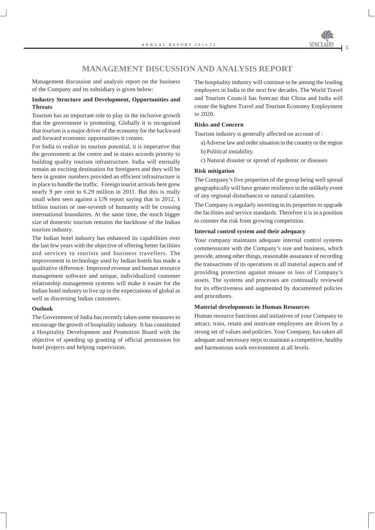## **MANAGEMENT DISCUSSION AND ANALYSIS REPORT**

Management discussion and analysis report on the business of the Company and its subsidiary is given below:

## **Industry Structure and Development, Opportunities and Threats**

Tourism has an important role to play in the inclusive growth that the government is promoting. Globally it is recognized that tourism is a major driver of the economy for the backward and forward economic opportunities it creates.

For India to realize its tourism potential, it is imperative that the government at the centre and in states accords priority to building quality tourism infrastructure. India will eternally remain an exciting destination for foreigners and they will be here in greater numbers provided an efficient infrastructure is in place to handle the traffic. Foreign tourist arrivals here grew nearly 9 per cent to 6.29 million in 2011. But this is really small when seen against a UN report saying that in 2012, 1 billion tourists or one-seventh of humanity will be crossing international boundaries. At the same time, the much bigger size of domestic tourism remains the backbone of the Indian tourism industry.

The Indian hotel industry has enhanced its capabilities over the last few years with the objective of offering better facilities and services to tourists and business travellers. The improvement in technology used by Indian hotels has made a qualitative difference. Improved revenue and human resource management software and unique, individualized customer relationship management systems will make it easier for the Indian hotel industry to live up to the expectations of global as well as discerning Indian customers.

#### **Outlook**

The Government of India has recently taken some measures to encourage the growth of hospitality industry. It has constituted a Hospitality Development and Promotion Board with the objective of speeding up granting of official permission for hotel projects and helping supervision.

The hospitality industry will continue to be among the leading employers in India in the next few decades. The World Travel and Tourism Council has forecast that China and India will create the highest Travel and Tourism Economy Employment in 2020.

#### **Risks and Concern**

Tourism industry is generally affected on account of :

- a) Adverse law and order situation in the country or the region
- b) Political instability.
- c) Natural disaster or spread of epidemic or diseases

#### **Risk mitigation**

The Company's five properties of the group being well spread geographically will have greater resilience in the unlikely event of any regional disturbances or natural calamities.

The Company is regularly investing in its properties to upgrade the facilities and service standards. Therefore it is in a position to counter the risk from growing competition.

## **Internal control system and their adequacy**

Your company maintains adequate internal control systems commensurate with the Company's size and business, which provide, among other things, reasonable assurance of recording the transactions of its operations in all material aspects and of providing protection against misuse or loss of Company's assets. The systems and processes are continually reviewed for its effectiveness and augmented by documented policies and procedures.

#### **Material developments in Human Resources**

Human resource functions and initiatives of your Company to attract, train, retain and motivate employees are driven by a strong set of values and policies. Your Company, has taken all adequate and necessary steps to maintain a competitive, healthy and harmonious work environment at all levels.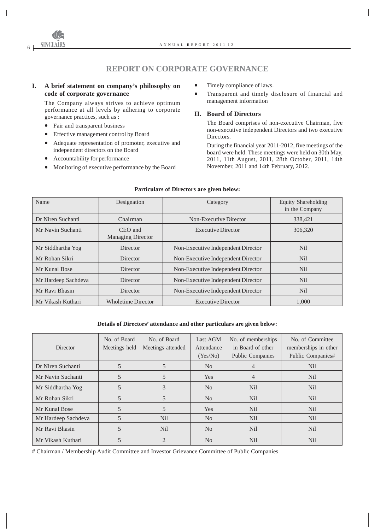

## **REPORT ON CORPORATE GOVERNANCE**

**I. A brief statement on company's philosophy on code of corporate governance**

The Company always strives to achieve optimum performance at all levels by adhering to corporate governance practices, such as :

- Fair and transparent business
- Effective management control by Board
- Adequate representation of promoter, executive and independent directors on the Board
- Accountability for performance
- Monitoring of executive performance by the Board

• Timely compliance of laws.

• Transparent and timely disclosure of financial and management information

#### **II. Board of Directors**

The Board comprises of non-executive Chairman, five non-executive independent Directors and two executive Directors.

During the financial year 2011-2012, five meetings of the board were held. These meetings were held on 30th May, 2011, 11th August, 2011, 28th October, 2011, 14th November, 2011 and 14th February, 2012.

| Name                | Designation                         | Category                           | Equity Shareholding<br>in the Company |
|---------------------|-------------------------------------|------------------------------------|---------------------------------------|
| Dr Niren Suchanti   | Chairman                            | Non-Executive Director             | 338,421                               |
| Mr Navin Suchanti   | CEO and<br><b>Managing Director</b> | <b>Executive Director</b>          | 306,320                               |
| Mr Siddhartha Yog   | Director                            | Non-Executive Independent Director | <b>Nil</b>                            |
| Mr Rohan Sikri      | Director                            | Non-Executive Independent Director | <b>Nil</b>                            |
| Mr Kunal Bose       | Director                            | Non-Executive Independent Director | <b>Nil</b>                            |
| Mr Hardeep Sachdeva | Director                            | Non-Executive Independent Director | <b>Nil</b>                            |
| Mr Ravi Bhasin      | <b>Director</b>                     | Non-Executive Independent Director | <b>Nil</b>                            |
| Mr Vikash Kuthari   | <b>Wholetime Director</b>           | <b>Executive Director</b>          | 1.000                                 |

## **Particulars of Directors are given below:**

#### **Details of Directors' attendance and other particulars are given below:**

| Director            | No. of Board<br>Meetings held | No. of Board<br>Meetings attended | Last AGM<br>Attendance<br>(Yes/No) | No. of memberships<br>in Board of other<br><b>Public Companies</b> | No. of Committee<br>memberships in other<br>Public Companies# |
|---------------------|-------------------------------|-----------------------------------|------------------------------------|--------------------------------------------------------------------|---------------------------------------------------------------|
| Dr Niren Suchanti   |                               | 5                                 | N <sub>o</sub>                     | 4                                                                  | <b>Nil</b>                                                    |
| Mr Navin Suchanti   | 5                             | 5                                 | Yes                                | 4                                                                  | <b>Nil</b>                                                    |
| Mr Siddhartha Yog   | 5                             | 3                                 | N <sub>0</sub>                     | <b>Nil</b>                                                         | <b>Nil</b>                                                    |
| Mr Rohan Sikri      | 5                             | 5                                 | N <sub>0</sub>                     | <b>Nil</b>                                                         | <b>Nil</b>                                                    |
| Mr Kunal Bose       |                               | 5                                 | Yes                                | <b>Nil</b>                                                         | <b>Nil</b>                                                    |
| Mr Hardeep Sachdeva |                               | <b>Nil</b>                        | N <sub>o</sub>                     | <b>Nil</b>                                                         | <b>Nil</b>                                                    |
| Mr Ravi Bhasin      |                               | <b>Nil</b>                        | N <sub>0</sub>                     | <b>Nil</b>                                                         | <b>Nil</b>                                                    |
| Mr Vikash Kuthari   |                               | 2                                 | N <sub>0</sub>                     | <b>Nil</b>                                                         | <b>Nil</b>                                                    |

# Chairman / Membership Audit Committee and Investor Grievance Committee of Public Companies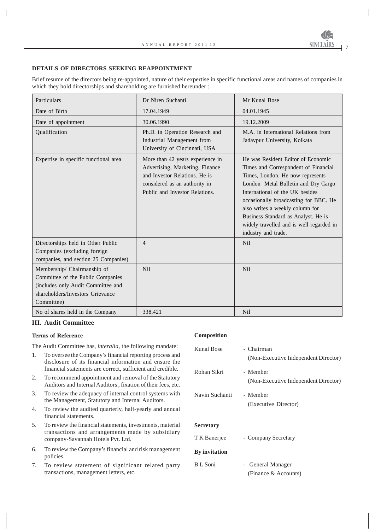## **DETAILS OF DIRECTORS SEEKING REAPPOINTMENT**

Brief resume of the directors being re-appointed, nature of their expertise in specific functional areas and names of companies in which they hold directorships and shareholding are furnished hereunder :

| Particulars                                                                                                                                              | Dr Niren Suchanti                                                                                                                                                       | Mr Kunal Bose                                                                                                                                                                                                                                                                                                                                                                  |
|----------------------------------------------------------------------------------------------------------------------------------------------------------|-------------------------------------------------------------------------------------------------------------------------------------------------------------------------|--------------------------------------------------------------------------------------------------------------------------------------------------------------------------------------------------------------------------------------------------------------------------------------------------------------------------------------------------------------------------------|
| Date of Birth                                                                                                                                            | 17.04.1949                                                                                                                                                              | 04.01.1945                                                                                                                                                                                                                                                                                                                                                                     |
| Date of appointment                                                                                                                                      | 30.06.1990                                                                                                                                                              | 19.12.2009                                                                                                                                                                                                                                                                                                                                                                     |
| Qualification                                                                                                                                            | Ph.D. in Operation Research and<br>Industrial Management from<br>University of Cincinnati, USA                                                                          | M.A. in International Relations from<br>Jadavpur University, Kolkata                                                                                                                                                                                                                                                                                                           |
| Expertise in specific functional area                                                                                                                    | More than 42 years experience in<br>Advertising, Marketing, Finance<br>and Investor Relations. He is<br>considered as an authority in<br>Public and Investor Relations. | He was Resident Editor of Economic<br>Times and Correspondent of Financial<br>Times, London. He now represents<br>London Metal Bulletin and Dry Cargo<br>International of the UK besides<br>occasionally broadcasting for BBC. He<br>also writes a weekly column for<br>Business Standard as Analyst. He is<br>widely travelled and is well regarded in<br>industry and trade. |
| Directorships held in Other Public<br>Companies (excluding foreign<br>companies, and section 25 Companies)                                               | $\overline{4}$                                                                                                                                                          | <b>Nil</b>                                                                                                                                                                                                                                                                                                                                                                     |
| Membership/ Chairmanship of<br>Committee of the Public Companies<br>(includes only Audit Committee and<br>shareholders/Investors Grievance<br>Committee) | <b>Nil</b>                                                                                                                                                              | <b>Nil</b>                                                                                                                                                                                                                                                                                                                                                                     |
| No of shares held in the Company                                                                                                                         | 338,421                                                                                                                                                                 | <b>Nil</b>                                                                                                                                                                                                                                                                                                                                                                     |

#### **III. Audit Committee**

#### **Terms of Reference**

The Audit Committee has, *interalia,* the following mandate:

- 1. To oversee the Company's financial reporting process and disclosure of its financial information and ensure the financial statements are correct, sufficient and credible.
- 2. To recommend appointment and removal of the Statutory Auditors and Internal Auditors , fixation of their fees, etc.
- 3. To review the adequacy of internal control systems with the Management, Statutory and Internal Auditors.
- 4. To review the audited quarterly, half-yearly and annual financial statements.
- 5. To review the financial statements, investments, material transactions and arrangements made by subsidiary company-Savannah Hotels Pvt. Ltd.
- 6. To review the Company's financial and risk management policies.
- 7. To review statement of significant related party transactions, management letters, etc.

#### **Composition**

| <b>Kunal Bose</b>    | - Chairman<br>(Non-Executive Independent Director) |
|----------------------|----------------------------------------------------|
| Rohan Sikri          | - Member<br>(Non-Executive Independent Director)   |
| Navin Suchanti       | - Member<br>(Executive Director)                   |
| <b>Secretary</b>     |                                                    |
| T K Banerjee         | - Company Secretary                                |
| <b>By invitation</b> |                                                    |
| <b>B</b> L Soni      | - General Manager<br>(Finance & Accounts)          |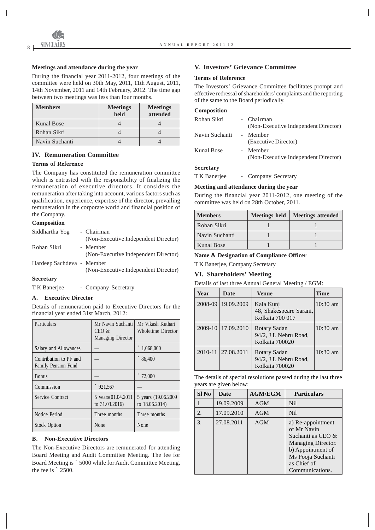

#### **Meetings and attendance during the year**

During the financial year 2011-2012, four meetings of the committee were held on 30th May, 2011, 11th August, 2011, 14th November, 2011 and 14th February, 2012. The time gap between two meetings was less than four months.

| <b>Members</b>    | <b>Meetings</b><br>held | <b>Meetings</b><br>attended |
|-------------------|-------------------------|-----------------------------|
| <b>Kunal Bose</b> |                         |                             |
| Rohan Sikri       |                         |                             |
| Navin Suchanti    |                         |                             |

## **IV. Remuneration Committee**

## **Terms of Reference**

The Company has constituted the remuneration committee which is entrusted with the responsibility of finalizing the remuneration of executive directors. It considers the remuneration after taking into account, various factors such as qualification, experience, expertise of the director, prevailing remuneration in the corporate world and financial position of the Company.

## **Composition**

| Siddhartha Yog            | - Chairman<br>(Non-Executive Independent Director) |
|---------------------------|----------------------------------------------------|
| Rohan Sikri               | - Member<br>(Non-Executive Independent Director)   |
| Hardeep Sachdeva - Member | (Non-Executive Independent Director)               |
| <b>Secretary</b>          |                                                    |

T K Banerjee - Company Secretary

## **A. Executive Director**

Details of remuneration paid to Executive Directors for the financial year ended 31st March, 2012:

| Particulars                                   | Mr Navin Suchanti<br>CEO &<br>Managing Director | Mr Vikash Kuthari<br>Wholetime Director |
|-----------------------------------------------|-------------------------------------------------|-----------------------------------------|
| Salary and Allowances                         |                                                 | 1,068,000                               |
| Contribution to PF and<br>Family Pension Fund |                                                 | 86,400                                  |
| <b>Bonus</b>                                  |                                                 | 72,000                                  |
| Commission                                    | 921,567                                         |                                         |
| Service Contract                              | 5 years (01.04.2011<br>to 31.03.2016)           | 5 years (19.06.2009)<br>to 18.06.2014)  |
| Notice Period                                 | Three months                                    | Three months                            |
| <b>Stock Option</b>                           | None                                            | None                                    |

## **B. Non-Executive Directors**

The Non-Executive Directors are remunerated for attending Board Meeting and Audit Committee Meeting. The fee for Board Meeting is ` 5000 while for Audit Committee Meeting, the fee is ` 2500.

## **V. Investors' Grievance Committee**

#### **Terms of Reference**

The Investors' Grievance Committee facilitates prompt and effective redressal of shareholders' complaints and the reporting of the same to the Board periodically.

#### **Composition**

| Rohan Sikri                 | - Chairman                           |
|-----------------------------|--------------------------------------|
|                             | (Non-Executive Independent Director) |
| Navin Suchanti              | - Member                             |
|                             | (Executive Director)                 |
| Kunal Bose                  | - Member                             |
|                             | (Non-Executive Independent Director) |
| $\mathcal{L}_{\text{conv}}$ |                                      |

#### **Secretary**

T K Banerjee - Company Secretary

## **Meeting and attendance during the year**

During the financial year 2011-2012, one meeting of the committee was held on 28th October, 2011.

| <b>Members</b> | <b>Meetings held</b> | <b>Meetings attended</b> |
|----------------|----------------------|--------------------------|
| Rohan Sikri    |                      |                          |
| Navin Suchanti |                      |                          |
| Kunal Bose     |                      |                          |

#### **Name & Designation of Compliance Officer**

T K Banerjee, Company Secretary

#### **VI. Shareholders' Meeting**

Details of last three Annual General Meeting / EGM:

| Year | <b>Date</b>          | <b>Venue</b>                                            | <b>Time</b> |
|------|----------------------|---------------------------------------------------------|-------------|
|      | 2008-09   19.09.2009 | Kala Kunj<br>48, Shakespeare Sarani,<br>Kolkata 700 017 | $10:30$ am  |
|      | 2009-10 17.09.2010   | Rotary Sadan<br>94/2, J L Nehru Road,<br>Kolkata 700020 | $10:30$ am  |
|      | 2010-11 27.08.2011   | Rotary Sadan<br>94/2, J L Nehru Road,<br>Kolkata 700020 | $10:30$ am  |

| The details of special resolutions passed during the last three |  |
|-----------------------------------------------------------------|--|
| years are given below:                                          |  |

| Sl No | Date       | <b>AGM/EGM</b> | <b>Particulars</b>                                                                                                                                      |
|-------|------------|----------------|---------------------------------------------------------------------------------------------------------------------------------------------------------|
|       | 19.09.2009 | AGM            | N <sub>il</sub>                                                                                                                                         |
| 2.    | 17.09.2010 | AGM            | <b>Nil</b>                                                                                                                                              |
| 3.    | 27.08.2011 | AGM            | a) Re-appointment<br>of Mr Navin<br>Suchanti as CEO &<br>Managing Director.<br>b) Appointment of<br>Ms Pooja Suchanti<br>as Chief of<br>Communications. |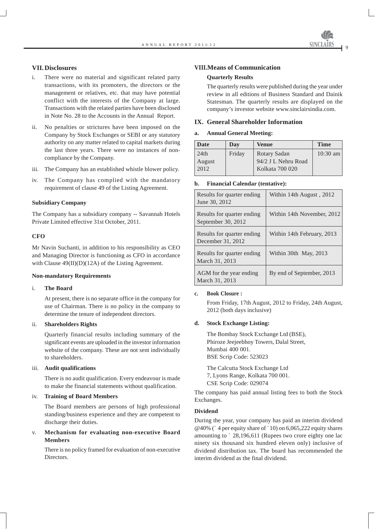## **VII. Disclosures**

- i. There were no material and significant related party transactions, with its promoters, the directors or the management or relatives, etc. that may have potential conflict with the interests of the Company at large. Transactions with the related parties have been disclosed in Note No. 28 to the Accounts in the Annual Report.
- ii. No penalties or strictures have been imposed on the Company by Stock Exchanges or SEBI or any statutory authority on any matter related to capital markets during the last three years. There were no instances of noncompliance by the Company.
- iii. The Company has an established whistle blower policy.
- iv. The Company has complied with the mandatory requirement of clause 49 of the Listing Agreement.

#### **Subsidiary Company**

The Company has a subsidiary company -- Savannah Hotels Private Limited effective 31st October, 2011.

#### **CFO**

Mr Navin Suchanti, in addition to his responsibility as CEO and Managing Director is functioning as CFO in accordance with Clause  $49(II)(D)(12A)$  of the Listing Agreement.

#### **Non-mandatory Requirements**

#### i. **The Board**

At present, there is no separate office in the company for use of Chairman. There is no policy in the company to determine the tenure of independent directors.

## ii. **Shareholders Rights**

Quarterly financial results including summary of the significant events are uploaded in the investor information website of the company. These are not sent individually to shareholders.

#### iii. **Audit qualifications**

There is no audit qualification. Every endeavour is made to make the financial statements without qualification.

#### iv. **Training of Board Members**

The Board members are persons of high professional standing/business experience and they are competent to discharge their duties.

## v. **Mechanism for evaluating non-executive Board Members**

There is no policy framed for evaluation of non-executive Directors.

#### **VIII.Means of Communication**

#### **Quarterly Results**

The quarterly results were published during the year under review in all editions of Business Standard and Dainik Statesman. The quarterly results are displayed on the company's investor website www.sinclairsindia.com.

## **IX. General Shareholder Information**

#### **a. Annual General Meeting:**

| Date   | Day    | Venue               | <b>Time</b> |
|--------|--------|---------------------|-------------|
| 24th   | Friday | Rotary Sadan        | $10:30$ am  |
| August |        | 94/2 J L Nehru Road |             |
| 2012   |        | Kolkata 700 020     |             |

#### **b. Financial Calendar (tentative):**

| Results for quarter ending<br>June 30, 2012      | Within 14th August, 2012   |
|--------------------------------------------------|----------------------------|
| Results for quarter ending<br>September 30, 2012 | Within 14th November, 2012 |
| Results for quarter ending<br>December 31, 2012  | Within 14th February, 2013 |
| Results for quarter ending<br>March 31, 2013     | Within 30th May, 2013      |
| AGM for the year ending<br>March 31, 2013        | By end of September, 2013  |

#### **c. Book Closure :**

From Friday, 17th August, 2012 to Friday, 24th August, 2012 (both days inclusive)

#### **d. Stock Exchange Listing:**

The Bombay Stock Exchange Ltd (BSE), Phiroze Jeejeebhoy Towers, Dalal Street, Mumbai 400 001. BSE Scrip Code: 523023

The Calcutta Stock Exchange Ltd 7, Lyons Range, Kolkata 700 001. CSE Scrip Code: 029074

The company has paid annual listing fees to both the Stock Exchanges.

#### **Dividend**

During the year, your company has paid an interim dividend  $@40\%$  ( $\degree$  4 per equity share of  $\degree$  10) on 6,065,222 equity shares amounting to ` 28,196,611 (Rupees two crore eighty one lac ninety six thousand six hundred eleven only) inclusive of dividend distribution tax. The board has recommended the interim dividend as the final dividend.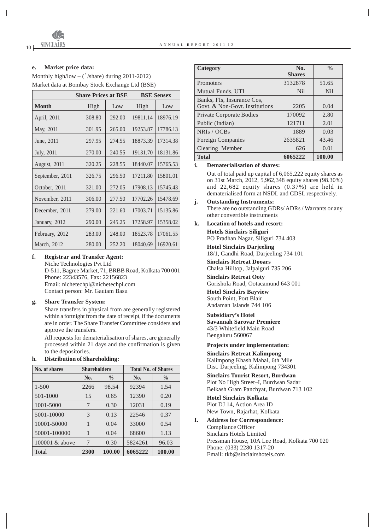## **e. Market price data:**

Monthly high/low – (`/share) during 2011-2012) Market data at Bombay Stock Exchange Ltd (BSE)

|                 | <b>Share Prices at BSE</b> |        |          | <b>BSE Sensex</b> |
|-----------------|----------------------------|--------|----------|-------------------|
| <b>Month</b>    | High                       | Low    | High     | Low               |
| April, 2011     | 308.80                     | 292.00 | 19811.14 | 18976.19          |
| May, 2011       | 301.95                     | 265.00 | 19253.87 | 17786.13          |
| June, 2011      | 297.95                     | 274.55 | 18873.39 | 17314.38          |
| July, 2011      | 270.00                     | 240.55 | 19131.70 | 18131.86          |
| August, 2011    | 320.25                     | 228.55 | 18440.07 | 15765.53          |
| September, 2011 | 326.75                     | 296.50 | 17211.80 | 15801.01          |
| October, 2011   | 321.00                     | 272.05 | 17908.13 | 15745.43          |
| November, 2011  | 306.00                     | 277.50 | 17702.26 | 15478.69          |
| December, 2011  | 279.00                     | 221.60 | 17003.71 | 15135.86          |
| January, 2012   | 290.00                     | 245.25 | 17258.97 | 15358.02          |
| February, 2012  | 283.00                     | 248.00 | 18523.78 | 17061.55          |
| March, 2012     | 280.00                     | 252.20 | 18040.69 | 16920.61          |

## **f. Registrar and Transfer Agent:**

Niche Technologies Pvt Ltd D-511, Bagree Market, 71, BRBB Road, Kolkata 700 001 Phone: 22343576, Fax: 22156823 Email: nichetechpl@nichetechpl.com Contact person: Mr. Gautam Basu

#### **g. Share Transfer System:**

Share transfers in physical from are generally registered within a fortnight from the date of receipt, if the documents are in order. The Share Transfer Committee considers and approve the transfers.

All requests for dematerialisation of shares, are generally processed within 21 days and the confirmation is given to the depositories.

| No. of shares  | <b>Shareholders</b> |               | <b>Total No. of Shares</b> |               |
|----------------|---------------------|---------------|----------------------------|---------------|
|                | No.                 | $\frac{0}{0}$ | No.                        | $\frac{0}{0}$ |
| $1 - 500$      | 2266                | 98.54         | 92394                      | 1.54          |
| 501-1000       | 15                  | 0.65          | 12390                      | 0.20          |
| 1001-5000      | 7                   | 0.30          | 12031                      | 0.19          |
| 5001-10000     | 3                   | 0.13          | 22546                      | 0.37          |
| 10001-50000    | 1                   | 0.04          | 33000                      | 0.54          |
| 50001-100000   | 1                   | 0.04          | 68600                      | 1.13          |
| 100001 & above | 7                   | 0.30          | 5824261                    | 96.03         |
| Total          | 2300                | 100.00        | 6065222                    | 100.00        |

## **h. Distribution of Shareholding:**

| Category                        | No.           | $\frac{0}{0}$ |
|---------------------------------|---------------|---------------|
|                                 | <b>Shares</b> |               |
| <b>Promoters</b>                | 3132878       | 51.65         |
| Mutual Funds, UTI               | <b>Nil</b>    | <b>Nil</b>    |
| Banks, FIs, Insurance Cos,      |               |               |
| Govt. & Non-Govt. Institutions  | 2205          | 0.04          |
| <b>Private Corporate Bodies</b> | 170092        | 2.80          |
| Public (Indian)                 | 121711        | 2.01          |
| NRIs / OCBs                     | 1889          | 0.03          |
| <b>Foreign Companies</b>        | 2635821       | 43.46         |
| Clearing Member                 | 626           | 0.01          |
| <b>Total</b>                    | 6065222       | 100.00        |

#### **i. Dematerialisation of shares:**

Out of total paid up capital of 6,065,222 equity shares as on 31st March, 2012, 5,962,348 equity shares (98.30%) and 22,682 equity shares (0.37%) are held in dematerialised form at NSDL and CDSL respectively.

#### **j. Outstanding Instruments:** There are no outstanding GDRs/ ADRs / Warrants or any other convertible instruments

## **k. Location of hotels and resort:**

**Hotels Sinclairs Siliguri** PO Pradhan Nagar, Siliguri 734 403 **Hotel Sinclairs Darjeeling** 18/1, Gandhi Road, Darjeeling 734 101

**Sinclairs Retreat Dooars** Chalsa Hilltop, Jalpaiguri 735 206

**Sinclairs Retreat Ooty** Gorishola Road, Ootacamund 643 001

**Hotel Sinclairs Bayview** South Point, Port Blair Andaman Islands 744 106

**Subsidiary's Hotel Savannah Sarovar Premiere** 43/3 Whitefield Main Road Bengaluru 560067

## **Projects under implementation:**

**Sinclairs Retreat Kalimpong** Kalimpong Khash Mahal, 6th Mile Dist. Darjeeling, Kalimpong 734301

**Sinclairs Tourist Resort, Burdwan** Plot No High Street–I, Burdwan Sadar Belkash Gram Panchyat, Burdwan 713 102

**Hotel Sinclairs Kolkata** Plot DJ 14, Action Area ID New Town, Rajarhat, Kolkata

## **I. Address for Correspondence:**

Compliance Officer Sinclairs Hotels Limited Pressman House, 10A Lee Road, Kolkata 700 020 Phone: (033) 2280 1317-20 Email: tkb@sinclairshotels.com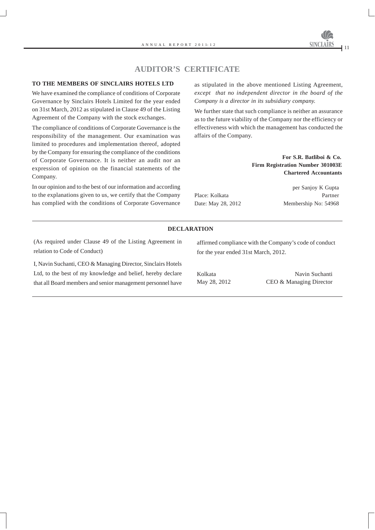## **AUDITOR'S CERTIFICATE**

## **TO THE MEMBERS OF SINCLAIRS HOTELS LTD**

We have examined the compliance of conditions of Corporate Governance by Sinclairs Hotels Limited for the year ended on 31st March, 2012 as stipulated in Clause 49 of the Listing Agreement of the Company with the stock exchanges.

The compliance of conditions of Corporate Governance is the responsibility of the management. Our examination was limited to procedures and implementation thereof, adopted by the Company for ensuring the compliance of the conditions of Corporate Governance. It is neither an audit nor an expression of opinion on the financial statements of the Company.

In our opinion and to the best of our information and according to the explanations given to us, we certify that the Company has complied with the conditions of Corporate Governance

as stipulated in the above mentioned Listing Agreement, *except that no independent director in the board of the Company is a director in its subsidiary company.*

We further state that such compliance is neither an assurance as to the future viability of the Company nor the efficiency or effectiveness with which the management has conducted the affairs of the Company.

> **For S.R. Batliboi & Co. Firm Registration Number 301003E Chartered Accountants**

per Sanjoy K Gupta Place: Kolkata Partner Date: May 28, 2012 Membership No: 54968

### **DECLARATION**

(As required under Clause 49 of the Listing Agreement in relation to Code of Conduct)

I, Navin Suchanti, CEO & Managing Director, Sinclairs Hotels Ltd, to the best of my knowledge and belief, hereby declare that all Board members and senior management personnel have affirmed compliance with the Company's code of conduct for the year ended 31st March, 2012.

Kolkata Navin Suchanti May 28, 2012 CEO & Managing Director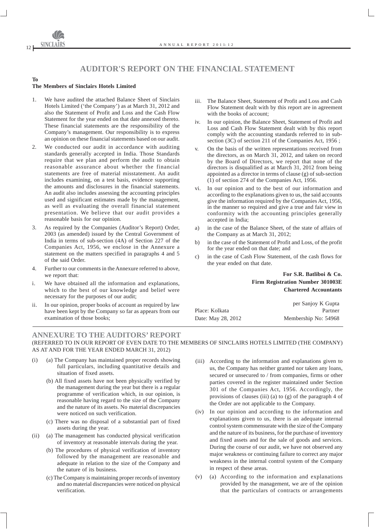

## **AUDITOR'S REPORT ON THE FINANCIAL STATEMENT**

## **To**

## **The Members of Sinclairs Hotels Limited**

- 1. We have audited the attached Balance Sheet of Sinclairs Hotels Limited ('the Company') as at March 31, 2012 and also the Statement of Profit and Loss and the Cash Flow Statement for the year ended on that date annexed thereto. These financial statements are the responsibility of the Company's management. Our responsibility is to express an opinion on these financial statements based on our audit.
- 2. We conducted our audit in accordance with auditing standards generally accepted in India. Those Standards require that we plan and perform the audit to obtain reasonable assurance about whether the financial statements are free of material misstatement. An audit includes examining, on a test basis, evidence supporting the amounts and disclosures in the financial statements. An audit also includes assessing the accounting principles used and significant estimates made by the management, as well as evaluating the overall financial statement presentation. We believe that our audit provides a reasonable basis for our opinion.
- 3. As required by the Companies (Auditor's Report) Order, 2003 (as amended) issued by the Central Government of India in terms of sub-section (4A) of Section 227 of the Companies Act, 1956, we enclose in the Annexure a statement on the matters specified in paragraphs 4 and 5 of the said Order.
- 4. Further to our comments in the Annexure referred to above, we report that:
- i. We have obtained all the information and explanations, which to the best of our knowledge and belief were necessary for the purposes of our audit;
- ii. In our opinion, proper books of account as required by law have been kept by the Company so far as appears from our examination of those books;
- iii. The Balance Sheet, Statement of Profit and Loss and Cash Flow Statement dealt with by this report are in agreement with the books of account;
- iv. In our opinion, the Balance Sheet, Statement of Profit and Loss and Cash Flow Statement dealt with by this report comply with the accounting standards referred to in subsection (3C) of section 211 of the Companies Act, 1956 ;
- v. On the basis of the written representations received from the directors, as on March 31, 2012, and taken on record by the Board of Directors, we report that none of the directors is disqualified as at March 31, 2012 from being appointed as a director in terms of clause (g) of sub-section (1) of section 274 of the Companies Act, 1956.
- vi. In our opinion and to the best of our information and according to the explanations given to us, the said accounts give the information required by the Companies Act, 1956, in the manner so required and give a true and fair view in conformity with the accounting principles generally accepted in India;
- a) in the case of the Balance Sheet, of the state of affairs of the Company as at March 31, 2012;
- b) in the case of the Statement of Profit and Loss, of the profit for the year ended on that date; and
- c) in the case of Cash Flow Statement, of the cash flows for the year ended on that date.

**For S.R. Batliboi & Co. Firm Registration Number 301003E Chartered Accountants**

per Sanjoy K Gupta

Place: Kolkata Partner Date: May 28, 2012 Membership No: 54968

(REFERRED TO IN OUR REPORT OF EVEN DATE TO THE MEMBERS OF SINCLAIRS HOTELS LIMITED (THE COMPANY) AS AT AND FOR THE YEAR ENDED MARCH 31, 2012) **ANNEXURE TO THE AUDITORS' REPORT**

- (i) (a) The Company has maintained proper records showing full particulars, including quantitative details and situation of fixed assets.
	- (b) All fixed assets have not been physically verified by the management during the year but there is a regular programme of verification which, in our opinion, is reasonable having regard to the size of the Company and the nature of its assets. No material discrepancies were noticed on such verification.
	- (c) There was no disposal of a substantial part of fixed assets during the year.
- (ii) (a) The management has conducted physical verification of inventory at reasonable intervals during the year.
	- (b) The procedures of physical verification of inventory followed by the management are reasonable and adequate in relation to the size of the Company and the nature of its business.
	- (c) The Company is maintaining proper records of inventory and no material discrepancies were noticed on physical verification.
- (iii) According to the information and explanations given to us, the Company has neither granted nor taken any loans, secured or unsecured to / from companies, firms or other parties covered in the register maintained under Section 301 of the Companies Act, 1956. Accordingly, the provisions of clauses (iii) (a) to (g) of the paragraph 4 of the Order are not applicable to the Company.
- (iv) In our opinion and according to the information and explanations given to us, there is an adequate internal control system commensurate with the size of the Company and the nature of its business, for the purchase of inventory and fixed assets and for the sale of goods and services. During the course of our audit, we have not observed any major weakness or continuing failure to correct any major weakness in the internal control system of the Company in respect of these areas.
- (v) (a) According to the information and explanations provided by the management, we are of the opinion that the particulars of contracts or arrangements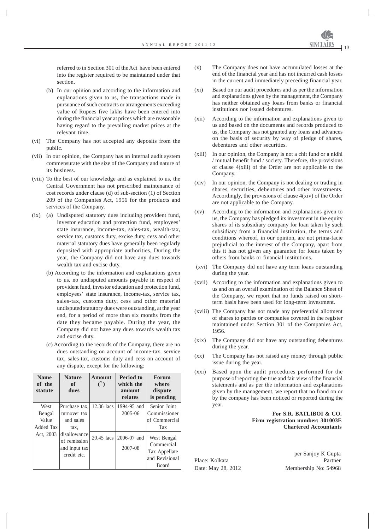

referred to in Section 301 of the Act have been entered into the register required to be maintained under that section.

- (b) In our opinion and according to the information and explanations given to us, the transactions made in pursuance of such contracts or arrangements exceeding value of Rupees five lakhs have been entered into during the financial year at prices which are reasonable having regard to the prevailing market prices at the relevant time.
- (vi) The Company has not accepted any deposits from the public.
- (vii) In our opinion, the Company has an internal audit system commensurate with the size of the Company and nature of its business.
- (viii) To the best of our knowledge and as explained to us, the Central Government has not prescribed maintenance of cost records under clause (d) of sub-section (1) of Section 209 of the Companies Act, 1956 for the products and services of the Company.
- (ix) (a) Undisputed statutory dues including provident fund, investor education and protection fund, employees' state insurance, income-tax, sales-tax, wealth-tax, service tax, customs duty, excise duty, cess and other material statutory dues have generally been regularly deposited with appropriate authorities, During the year, the Company did not have any dues towards wealth tax and excise duty.
	- (b) According to the information and explanations given to us, no undisputed amounts payable in respect of provident fund, investor education and protection fund, employees' state insurance, income-tax, service tax, sales-tax, customs duty, cess and other material undisputed statutory dues were outstanding, at the year end, for a period of more than six months from the date they became payable. During the year, the Company did not have any dues towards wealth tax and excise duty.
	- (c) According to the records of the Company, there are no dues outstanding on account of income-tax, service tax, sales-tax, customs duty and cess on account of any dispute, except for the following:

| <b>Name</b><br>of the<br>statute | <b>Nature</b><br>of<br>dues  | Amount<br>$($ ) | Period to<br>which the<br>amount | Forum<br>where<br>dispute |
|----------------------------------|------------------------------|-----------------|----------------------------------|---------------------------|
|                                  |                              |                 | relates                          | is pending                |
| West                             | Purchase tax,                | 12.36 lacs      | 1994-95 and                      | Senior Joint              |
| Bengal                           | turnover tax                 |                 | 2005-06                          | Commissioner              |
| Value                            | and sales                    |                 |                                  | of Commercial             |
| Added Tax                        | tax.                         |                 |                                  | Tax                       |
| Act, 2003                        | disallowance                 | $20.45$ lacs    | 2006-07 and                      | West Bengal               |
|                                  | of remission                 |                 |                                  | Commercial                |
|                                  | and input tax<br>credit etc. |                 | 2007-08                          | Tax Appellate             |
|                                  |                              |                 |                                  | and Revisional            |
|                                  |                              |                 |                                  | Board                     |

- (x) The Company does not have accumulated losses at the end of the financial year and has not incurred cash losses in the current and immediately preceding financial year.
- (xi) Based on our audit procedures and as per the information and explanations given by the management, the Company has neither obtained any loans from banks or financial institutions nor issued debentures.
- (xii) According to the information and explanations given to us and based on the documents and records produced to us, the Company has not granted any loans and advances on the basis of security by way of pledge of shares, debentures and other securities.
- (xiii) In our opinion, the Company is not a chit fund or a nidhi / mutual benefit fund / society. Therefore, the provisions of clause 4(xiii) of the Order are not applicable to the Company.
- (xiv) In our opinion, the Company is not dealing or trading in shares, securities, debentures and other investments. Accordingly, the provisions of clause 4(xiv) of the Order are not applicable to the Company.
- (xv) According to the information and explanations given to us, the Company has pledged its investment in the equity shares of its subsidiary company for loan taken by such subsidiary from a financial institution, the terms and conditions whereof, in our opinion, are not prima-facie prejudicial to the interest of the Company, apart from this it has not given any guarantee for loans taken by others from banks or financial institutions.
- (xvi) The Company did not have any term loans outstanding during the year.
- (xvii) According to the information and explanations given to us and on an overall examination of the Balance Sheet of the Company, we report that no funds raised on shortterm basis have been used for long-term investment.
- (xviii) The Company has not made any preferential allotment of shares to parties or companies covered in the register maintained under Section 301 of the Companies Act, 1956.
- (xix) The Company did not have any outstanding debentures during the year.
- (xx) The Company has not raised any money through public issue during the year.
- (xxi) Based upon the audit procedures performed for the purpose of reporting the true and fair view of the financial statements and as per the information and explanations given by the management, we report that no fraud on or by the company has been noticed or reported during the year.

#### **For S.R. BATLIBOI & CO. Firm registration number: 301003E Chartered Accountants**

per Sanjoy K Gupta Place: Kolkata Partner Date: May 28, 2012 Membership No: 54968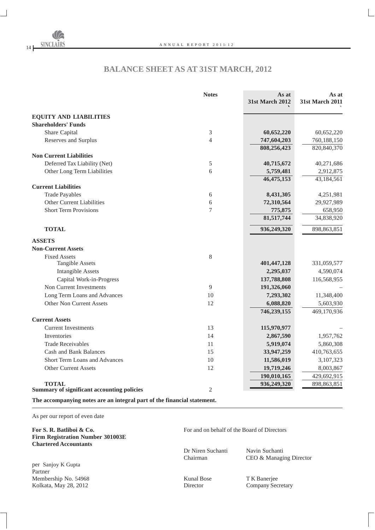

 $\overline{\phantom{0}}$ 

## **BALANCE SHEET AS AT 31ST MARCH, 2012**

|                                                                         | <b>Notes</b>   | As at<br><b>31st March 2012</b> | As at<br><b>31st March 2011</b> |
|-------------------------------------------------------------------------|----------------|---------------------------------|---------------------------------|
| <b>EQUITY AND LIABILITIES</b>                                           |                |                                 |                                 |
| <b>Shareholders' Funds</b>                                              |                |                                 |                                 |
| Share Capital                                                           | 3              | 60,652,220                      | 60,652,220                      |
| Reserves and Surplus                                                    | $\overline{4}$ | 747,604,203                     | 760,188,150                     |
|                                                                         |                | 808,256,423                     | 820, 840, 370                   |
| <b>Non Current Liabilities</b>                                          |                |                                 |                                 |
| Deferred Tax Liability (Net)                                            | 5              | 40,715,672                      | 40,271,686                      |
| Other Long Term Liabilities                                             | 6              | 5,759,481                       | 2,912,875                       |
|                                                                         |                | 46, 475, 153                    | 43,184,561                      |
| <b>Current Liabilities</b>                                              |                |                                 |                                 |
| <b>Trade Payables</b>                                                   | 6              | 8,431,305                       | 4,251,981                       |
| Other Current Liabilities                                               | 6              | 72,310,564                      | 29,927,989                      |
| <b>Short Term Provisions</b>                                            | 7              | 775,875                         | 658,950                         |
|                                                                         |                | 81,517,744                      | 34,838,920                      |
| <b>TOTAL</b>                                                            |                | 936,249,320                     | 898,863,851                     |
| <b>ASSETS</b>                                                           |                |                                 |                                 |
| <b>Non-Current Assets</b>                                               |                |                                 |                                 |
| <b>Fixed Assets</b>                                                     | 8              |                                 |                                 |
| <b>Tangible Assets</b>                                                  |                | 401,447,128                     | 331,059,577                     |
| <b>Intangible Assets</b>                                                |                | 2,295,037                       | 4,590,074                       |
| Capital Work-in-Progress                                                |                | 137,788,808                     | 116,568,955                     |
| Non Current Investments                                                 | 9              | 191,326,060                     |                                 |
| Long Term Loans and Advances                                            | 10             | 7,293,302                       | 11,348,400                      |
| Other Non Current Assets                                                | 12             | 6,088,820                       | 5,603,930                       |
|                                                                         |                | 746,239,155                     | 469,170,936                     |
| <b>Current Assets</b>                                                   |                |                                 |                                 |
| <b>Current Investments</b>                                              | 13             | 115,970,977                     |                                 |
| Inventories                                                             | 14             | 2,867,590                       | 1,957,762                       |
| <b>Trade Receivables</b>                                                | 11             | 5,919,074                       | 5,860,308                       |
| Cash and Bank Balances                                                  | 15             | 33,947,259                      | 410,763,655                     |
| <b>Short Term Loans and Advances</b>                                    | 10             | 11,586,019                      | 3,107,323                       |
| <b>Other Current Assets</b>                                             | 12             | 19,719,246                      | 8,003,867                       |
|                                                                         |                | 190,010,165                     | 429,692,915                     |
| <b>TOTAL</b><br>Summary of significant accounting policies              | $\overline{2}$ | 936,249,320                     | 898,863,851                     |
| The accompanying notes are an integral part of the financial statement. |                |                                 |                                 |

As per our report of even date

**Firm Registration Number 301003E Chartered Accountants**

per Sanjoy K Gupta Partner Membership No. 54968 Kunal Bose T K Banerjee Kolkata, May 28, 2012 Director Company Secretary

For S. R. Batliboi & Co. For and on behalf of the Board of Directors

Dr Niren Suchanti Navin Suchanti<br>Chairman CEO & Managin

CEO & Managing Director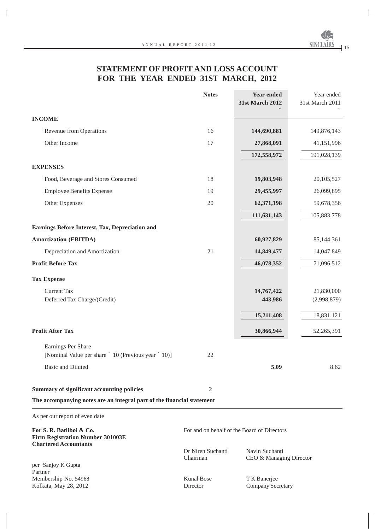## **Notes Year ended** Year ended **31st March 2012** 31st March 2011  $\mathcal{L} = \mathcal{L} \times \mathcal{L}$ **INCOME** Revenue from Operations 16 **144,690,881** 149,876,143 Other Income 17 27,868,091 41,151,996  **172,558,972** 191,028,139 **EXPENSES** Food, Beverage and Stores Consumed 18 **19,803,948** 20,105,527 Employee Benefits Expense 19 **29,455,997** 26,099,895 Other Expenses 20 62,371,198 59,678,356  **111,631,143** 105,883,778 **Earnings Before Interest, Tax, Depreciation and Amortization (EBITDA)** 60,927,829 85,144,361 Depreciation and Amortization 21 **14,849,477** 14,047,849 **Profit Before Tax 46,078,352** 71,096,512 **Tax Expense Current Tax** 21,830,000 Deferred Tax Charge/(Credit) **443,986** (2,998,879) **15,211,408** 18,831,121 **Profit After Tax** 30,866,944 52,265,391 Earnings Per Share [Nominal Value per share ` 10 (Previous year ` 10)] 22 Basic and Diluted **5.09** 8.62 **Summary of significant accounting policies** 2 **The accompanying notes are an integral part of the financial statement** As per our report of even date **For S. R. Batliboi & Co.** For and on behalf of the Board of Directors

## **STATEMENT OF PROFIT AND LOSS ACCOUNT FOR THE YEAR ENDED 31ST MARCH, 2012**

**Firm Registration Number 301003E Chartered Accountants**

per Sanjoy K Gupta Partner Membership No. 54968 Kunal Bose T K Banerjee Kolkata, May 28, 2012 **Director** Company Secretary

Dr Niren Suchanti Navin Suchanti

Chairman CEO & Managing Director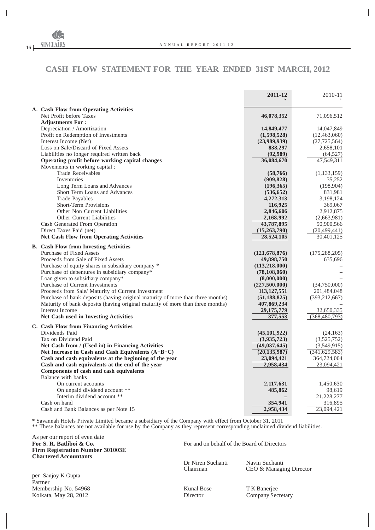## **CASH FLOW STATEMENT FOR THE YEAR ENDED 31ST MARCH, 2012**

|                                                                                             | 2011-12         | 2010-11         |
|---------------------------------------------------------------------------------------------|-----------------|-----------------|
| A. Cash Flow from Operating Activities                                                      |                 |                 |
| Net Profit before Taxes                                                                     | 46,078,352      | 71,096,512      |
| <b>Adjustments For:</b>                                                                     |                 |                 |
| Depreciation / Amortization                                                                 | 14,849,477      | 14,047,849      |
| Profit on Redemption of Investments                                                         | (1,598,528)     | (12, 463, 060)  |
| Interest Income (Net)                                                                       | (23,989,939)    | (27, 725, 564)  |
| Loss on Sale/Discard of Fixed Assets                                                        | 838,297         | 2,658,101       |
| Liabilities no longer required written back                                                 | (92, 989)       | (64, 527)       |
| Operating profit before working capital changes                                             | 36,084,670      | 47,549,311      |
| Movements in working capital :                                                              |                 |                 |
| <b>Trade Receivables</b>                                                                    | (58,766)        | (1, 133, 159)   |
| Inventories                                                                                 | (909, 828)      | 35,252          |
| Long Term Loans and Advances                                                                | (196, 365)      | (198, 904)      |
| Short Term Loans and Advances                                                               | (536, 652)      | 831,981         |
| <b>Trade Payables</b>                                                                       | 4,272,313       | 3,198,124       |
| <b>Short-Term Provisions</b>                                                                | 116,925         | 369,067         |
| Other Non Current Liabilities                                                               | 2,846,606       | 2,912,875       |
| Other Current Liabilities                                                                   | 2,168,992       | (2,663,981)     |
| Cash Generated From Operation                                                               | 43,787,895      | 50,900,566      |
| Direct Taxes Paid (net)                                                                     | (15,263,790)    | (20, 499, 441)  |
| <b>Net Cash Flow from Operating Activities</b>                                              | 28,524,105      | 30,401,125      |
| <b>B.</b> Cash Flow from Investing Activities                                               |                 |                 |
| <b>Purchase of Fixed Assets</b>                                                             | (121, 678, 876) | (175, 288, 205) |
| Proceeds from Sale of Fixed Assets                                                          | 49,898,750      | 635,696         |
| Purchase of equity shares in subsidiary company *                                           | (113, 218, 000) |                 |
| Purchase of debentures in subsidiary company*                                               | (78, 108, 060)  |                 |
| Loan given to subsidiary company*                                                           | (8,000,000)     |                 |
| Purchase of Current Investments                                                             | (227,500,000)   | (34,750,000)    |
| Proceeds from Sale/ Maturity of Current Investment                                          | 113, 127, 551   | 201,484,048     |
| Purchase of bank deposits (having original maturity of more than three months)              | (51, 188, 825)  | (393, 212, 667) |
| Maturity of bank deposits (having original maturity of more than three months)              | 407,869,234     |                 |
| <b>Interest Income</b>                                                                      | 29,175,779      | 32,650,335      |
| <b>Net Cash used in Investing Activities</b>                                                | 377,553         | (368, 480, 793) |
| C. Cash Flow from Financing Activities                                                      |                 |                 |
| Dividends Paid                                                                              | (45, 101, 922)  | (24, 163)       |
| Tax on Dividend Paid                                                                        | (3,935,723)     | (3,525,752)     |
| Net Cash from / (Used in) in Financing Activities                                           | (49, 037, 645)  | (3,549,915)     |
| Net Increase in Cash and Cash Equivalents (A+B+C)                                           | (20, 135, 987)  | (341, 629, 583) |
| Cash and cash equivalents at the beginning of the year                                      | 23,094,421      | 364,724,004     |
| Cash and cash equivalents at the end of the year<br>Components of cash and cash equivalents | 2,958,434       | 23,094,421      |
| Balance with banks                                                                          |                 |                 |
| On current accounts                                                                         | 2,117,631       | 1,450,630       |
| On unpaid dividend account **                                                               | 485,862         | 98,619          |
| Interim dividend account **                                                                 |                 | 21,228,277      |
| Cash on hand                                                                                | 354,941         | 316,895         |
| Cash and Bank Balances as per Note 15                                                       | 2,958,434       | 23,094,421      |

\* Savannah Hotels Private Limited became a subsidiary of the Company with effect from October 31, 2011

\*\* These balances are not available for use by the Company as they represent corresponding unclaimed dividend liabilities.

As per our report of even date<br>For S. R. Batliboi & Co. **Firm Registration Number 301003E Chartered Accountants**

For and on behalf of the Board of Directors

Dr Niren Suchanti Navin Suchanti<br>Chairman CEO & Managi

CEO & Managing Director

per Sanjoy K Gupta Partner Membership No. 54968 Kunal Bose T K Banerjee Kolkata, May 28, 2012 Director Company Secretary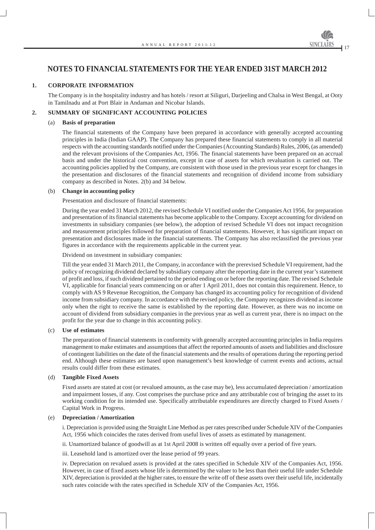### **1. CORPORATE INFORMATION**

The Company is in the hospitality industry and has hotels / resort at Siliguri, Darjeeling and Chalsa in West Bengal, at Ooty in Tamilnadu and at Port Blair in Andaman and Nicobar Islands.

## **2. SUMMARY OF SIGNIFICANT ACCOUNTING POLICIES**

#### (a) **Basis of preparation**

The financial statements of the Company have been prepared in accordance with generally accepted accounting principles in India (Indian GAAP). The Company has prepared these financial statements to comply in all material respects with the accounting standards notified under the Companies (Accounting Standards) Rules, 2006, (as amended) and the relevant provisions of the Companies Act, 1956. The financial statements have been prepared on an accrual basis and under the historical cost convention, except in case of assets for which revaluation is carried out. The accounting policies applied by the Company, are consistent with those used in the previous year except for changes in the presentation and disclosures of the financial statements and recognition of dividend income from subsidiary company as described in Notes. 2(b) and 34 below.

#### (b) **Change in accounting policy**

Presentation and disclosure of financial statements:

During the year ended 31 March 2012, the revised Schedule VI notified under the Companies Act 1956, for preparation and presentation of its financial statements has become applicable to the Company. Except accounting for dividend on investments in subsidiary companies (see below), the adoption of revised Schedule VI does not impact recognition and measurement principles followed for preparation of financial statements. However, it has significant impact on presentation and disclosures made in the financial statements. The Company has also reclassified the previous year figures in accordance with the requirements applicable in the current year.

Dividend on investment in subsidiary companies:

Till the year ended 31 March 2011, the Company, in accordance with the prerevised Schedule VI requirement, had the policy of recognizing dividend declared by subsidiary company after the reporting date in the current year's statement of profit and loss, if such dividend pertained to the period ending on or before the reporting date. The revised Schedule VI, applicable for financial years commencing on or after 1 April 2011, does not contain this requirement. Hence, to comply with AS 9 Revenue Recognition, the Company has changed its accounting policy for recognition of dividend income from subsidiary company. In accordance with the revised policy, the Company recognizes dividend as income only when the right to receive the same is established by the reporting date. However, as there was no income on account of dividend from subsidiary companies in the previous year as well as current year, there is no impact on the profit for the year due to change in this accounting policy.

#### (c) **Use of estimates**

The preparation of financial statements in conformity with generally accepted accounting principles in India requires management to make estimates and assumptions that affect the reported amounts of assets and liabilities and disclosure of contingent liabilities on the date of the financial statements and the results of operations during the reporting period end. Although these estimates are based upon management's best knowledge of current events and actions, actual results could differ from these estimates.

#### (d) **Tangible Fixed Assets**

Fixed assets are stated at cost (or revalued amounts, as the case may be), less accumulated depreciation / amortization and impairment losses, if any. Cost comprises the purchase price and any attributable cost of bringing the asset to its working condition for its intended use. Specifically attributable expenditures are directly charged to Fixed Assets / Capital Work in Progress.

#### (e) **Depreciation / Amortization**

i. Depreciation is provided using the Straight Line Method as per rates prescribed under Schedule XIV of the Companies Act, 1956 which coincides the rates derived from useful lives of assets as estimated by management.

ii. Unamortized balance of goodwill as at 1st April 2008 is written off equally over a period of five years.

iii. Leasehold land is amortized over the lease period of 99 years.

iv. Depreciation on revalued assets is provided at the rates specified in Schedule XIV of the Companies Act, 1956. However, in case of fixed assets whose life is determined by the valuer to be less than their useful life under Schedule XIV, depreciation is provided at the higher rates, to ensure the write off of these assets over their useful life, incidentally such rates coincide with the rates specified in Schedule XIV of the Companies Act, 1956.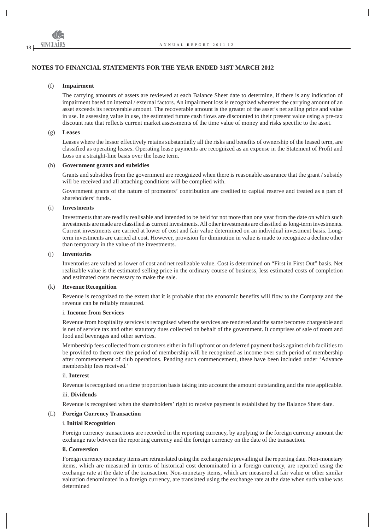

#### (f) **Impairment**

The carrying amounts of assets are reviewed at each Balance Sheet date to determine, if there is any indication of impairment based on internal / external factors. An impairment loss is recognized wherever the carrying amount of an asset exceeds its recoverable amount. The recoverable amount is the greater of the asset's net selling price and value in use. In assessing value in use, the estimated future cash flows are discounted to their present value using a pre-tax discount rate that reflects current market assessments of the time value of money and risks specific to the asset.

#### (g) **Leases**

Leases where the lessor effectively retains substantially all the risks and benefits of ownership of the leased term, are classified as operating leases. Operating lease payments are recognized as an expense in the Statement of Profit and Loss on a straight-line basis over the lease term.

#### (h) **Government grants and subsidies**

Grants and subsidies from the government are recognized when there is reasonable assurance that the grant / subsidy will be received and all attaching conditions will be complied with.

Government grants of the nature of promoters' contribution are credited to capital reserve and treated as a part of shareholders' funds.

#### (i) **Investments**

Investments that are readily realisable and intended to be held for not more than one year from the date on which such investments are made are classified as current investments. All other investments are classified as long-term investments. Current investments are carried at lower of cost and fair value determined on an individual investment basis. Longterm investments are carried at cost. However, provision for diminution in value is made to recognize a decline other than temporary in the value of the investments.

#### (j) **Inventories**

Inventories are valued as lower of cost and net realizable value. Cost is determined on "First in First Out" basis. Net realizable value is the estimated selling price in the ordinary course of business, less estimated costs of completion and estimated costs necessary to make the sale.

#### (k) **Revenue Recognition**

Revenue is recognized to the extent that it is probable that the economic benefits will flow to the Company and the revenue can be reliably measured.

#### i. **Income from Services**

Revenue from hospitality services is recognised when the services are rendered and the same becomes chargeable and is net of service tax and other statutory dues collected on behalf of the government. It comprises of sale of room and food and beverages and other services.

Membership fees collected from customers either in full upfront or on deferred payment basis against club facilities to be provided to them over the period of membership will be recognized as income over such period of membership after commencement of club operations. Pending such commencement, these have been included under 'Advance membership fees received.'

#### ii. **Interest**

Revenue is recognised on a time proportion basis taking into account the amount outstanding and the rate applicable.

#### iii. **Dividends**

Revenue is recognised when the shareholders' right to receive payment is established by the Balance Sheet date.

#### (L) **Foreign Currency Transaction**

#### i. **Initial Recognition**

Foreign currency transactions are recorded in the reporting currency, by applying to the foreign currency amount the exchange rate between the reporting currency and the foreign currency on the date of the transaction.

#### **ii. Conversion**

Foreign currency monetary items are retranslated using the exchange rate prevailing at the reporting date. Non-monetary items, which are measured in terms of historical cost denominated in a foreign currency, are reported using the exchange rate at the date of the transaction. Non-monetary items, which are measured at fair value or other similar valuation denominated in a foreign currency, are translated using the exchange rate at the date when such value was determined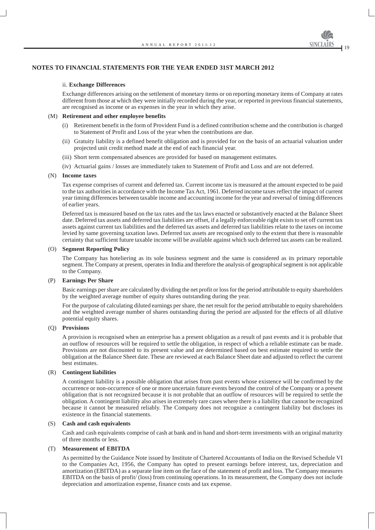#### ii. **Exchange Differences**

Exchange differences arising on the settlement of monetary items or on reporting monetary items of Company at rates different from those at which they were initially recorded during the year, or reported in previous financial statements, are recognised as income or as expenses in the year in which they arise.

#### (M) **Retirement and other employee benefits**

- (i) Retirement benefit in the form of Provident Fund is a defined contribution scheme and the contribution is charged to Statement of Profit and Loss of the year when the contributions are due.
- (ii) Gratuity liability is a defined benefit obligation and is provided for on the basis of an actuarial valuation under projected unit credit method made at the end of each financial year.
- (iii) Short term compensated absences are provided for based on management estimates.
- (iv) Actuarial gains / losses are immediately taken to Statement of Profit and Loss and are not deferred.

#### (N) **Income taxes**

Tax expense comprises of current and deferred tax. Current income tax is measured at the amount expected to be paid to the tax authorities in accordance with the Income Tax Act, 1961. Deferred income taxes reflect the impact of current year timing differences between taxable income and accounting income for the year and reversal of timing differences of earlier years.

Deferred tax is measured based on the tax rates and the tax laws enacted or substantively enacted at the Balance Sheet date. Deferred tax assets and deferred tax liabilities are offset, if a legally enforceable right exists to set off current tax assets against current tax liabilities and the deferred tax assets and deferred tax liabilities relate to the taxes on income levied by same governing taxation laws. Deferred tax assets are recognised only to the extent that there is reasonable certainty that sufficient future taxable income will be available against which such deferred tax assets can be realized.

#### (O) **Segment Reporting Policy**

The Company has hoteliering as its sole business segment and the same is considered as its primary reportable segment. The Company at present, operates in India and therefore the analysis of geographical segment is not applicable to the Company.

#### (P) **Earnings Per Share**

Basic earnings per share are calculated by dividing the net profit or loss for the period attributable to equity shareholders by the weighted average number of equity shares outstanding during the year.

For the purpose of calculating diluted earnings per share, the net result for the period attributable to equity shareholders and the weighted average number of shares outstanding during the period are adjusted for the effects of all dilutive potential equity shares.

#### (Q) **Provisions**

A provision is recognised when an enterprise has a present obligation as a result of past events and it is probable that an outflow of resources will be required to settle the obligation, in respect of which a reliable estimate can be made. Provisions are not discounted to its present value and are determined based on best estimate required to settle the obligation at the Balance Sheet date. These are reviewed at each Balance Sheet date and adjusted to reflect the current best estimates.

#### (R) **Contingent liabilities**

A contingent liability is a possible obligation that arises from past events whose existence will be confirmed by the occurrence or non-occurrence of one or more uncertain future events beyond the control of the Company or a present obligation that is not recognized because it is not probable that an outflow of resources will be required to settle the obligation. A contingent liability also arises in extremely rare cases where there is a liability that cannot be recognized because it cannot be measured reliably. The Company does not recognize a contingent liability but discloses its existence in the financial statements.

#### (S) **Cash and cash equivalents**

Cash and cash equivalents comprise of cash at bank and in hand and short-term investments with an original maturity of three months or less.

#### (T) **Measurement of EBITDA**

As permitted by the Guidance Note issued by Institute of Chartered Accountants of India on the Revised Schedule VI to the Companies Act, 1956, the Company has opted to present earnings before interest, tax, depreciation and amortization (EBITDA) as a separate line item on the face of the statement of profit and loss. The Company measures EBITDA on the basis of profit/ (loss) from continuing operations. In its measurement, the Company does not include depreciation and amortization expense, finance costs and tax expense.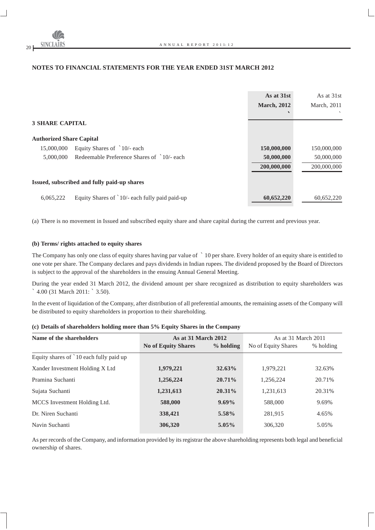

|                                 |                                                         | As at 31st<br><b>March, 2012</b><br>$\overline{\phantom{0}}$ | As at 31st<br>March, 2011 |
|---------------------------------|---------------------------------------------------------|--------------------------------------------------------------|---------------------------|
| <b>3 SHARE CAPITAL</b>          |                                                         |                                                              |                           |
| <b>Authorized Share Capital</b> |                                                         |                                                              |                           |
| 15,000,000                      | Equity Shares of 10/- each                              | 150,000,000                                                  | 150,000,000               |
| 5,000,000                       | Redeemable Preference Shares of `10/- each              | 50,000,000                                                   | 50,000,000                |
|                                 |                                                         | 200,000,000                                                  | 200,000,000               |
|                                 | Issued, subscribed and fully paid-up shares             |                                                              |                           |
| 6,065,222                       | Equity Shares of $\degree$ 10/- each fully paid paid-up | 60,652,220                                                   | 60,652,220                |

(a) There is no movement in Issued and subscribed equity share and share capital during the current and previous year.

## **(b) Terms/ rights attached to equity shares**

The Company has only one class of equity shares having par value of ` 10 per share. Every holder of an equity share is entitled to one vote per share. The Company declares and pays dividends in Indian rupees. The dividend proposed by the Board of Directors is subject to the approval of the shareholders in the ensuing Annual General Meeting.

During the year ended 31 March 2012, the dividend amount per share recognized as distribution to equity shareholders was ` 4.00 (31 March 2011: ` 3.50).

In the event of liquidation of the Company, after distribution of all preferential amounts, the remaining assets of the Company will be distributed to equity shareholders in proportion to their shareholding.

|                            | As at 31 March 2012 |                     | As at 31 March 2011 |  |  |
|----------------------------|---------------------|---------------------|---------------------|--|--|
| <b>No of Equity Shares</b> | $%$ holding         | No of Equity Shares | % holding           |  |  |
|                            |                     |                     |                     |  |  |
| 1,979,221                  | 32.63%              | 1,979,221           | 32.63%              |  |  |
| 1,256,224                  | $20.71\%$           | 1,256,224           | 20.71%              |  |  |
| 1,231,613                  | $20.31\%$           | 1,231,613           | 20.31%              |  |  |
| 588,000                    | $9.69\%$            | 588,000             | 9.69%               |  |  |
| 338,421                    | 5.58%               | 281,915             | 4.65%               |  |  |
| 306,320                    | $5.05\%$            | 306.320             | 5.05%               |  |  |
|                            |                     |                     |                     |  |  |

## **(c) Details of shareholders holding more than 5% Equity Shares in the Company**

As per records of the Company, and information provided by its registrar the above shareholding represents both legal and beneficial ownership of shares.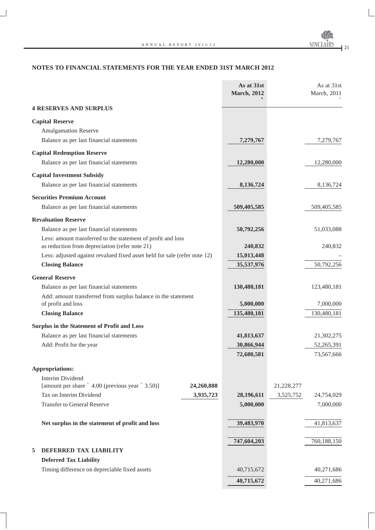A N N U A L REPORT 2011-12 SINCLAIRS 21

## **NOTES TO FINANCIAL STATEMENTS FOR THE YEAR ENDED 31ST MARCH 2012**

 $\Box$ 

|                                                                                                     | As at 31st<br><b>March</b> , 2012 | As at 31st<br>March, 2011 |
|-----------------------------------------------------------------------------------------------------|-----------------------------------|---------------------------|
| <b>4 RESERVES AND SURPLUS</b>                                                                       |                                   |                           |
| <b>Capital Reserve</b>                                                                              |                                   |                           |
| <b>Amalgamation Reserve</b>                                                                         |                                   |                           |
| Balance as per last financial statements                                                            | 7,279,767                         | 7,279,767                 |
| <b>Capital Redemption Reserve</b>                                                                   |                                   |                           |
| Balance as per last financial statements                                                            | 12,280,000                        | 12,280,000                |
| <b>Capital Investment Subsidy</b>                                                                   |                                   |                           |
| Balance as per last financial statements                                                            | 8,136,724                         | 8,136,724                 |
| <b>Securities Premium Account</b>                                                                   |                                   |                           |
| Balance as per last financial statements                                                            | 509,405,585                       | 509,405,585               |
| <b>Revaluation Reserve</b>                                                                          |                                   |                           |
| Balance as per last financial statements                                                            | 50,792,256                        | 51,033,088                |
| Less: amount transferred to the statement of profit and loss                                        |                                   |                           |
| as reduction from depreciation (refer note 21)                                                      | 240,832                           | 240,832                   |
| Less: adjusted against revalued fixed asset held for sale (refer note 12)<br><b>Closing Balance</b> | 15,013,448<br>35,537,976          | 50,792,256                |
|                                                                                                     |                                   |                           |
| <b>General Reserve</b>                                                                              |                                   |                           |
| Balance as per last financial statements                                                            | 130,480,181                       | 123,480,181               |
| Add: amount transferred from surplus balance in the statement<br>of profit and loss                 | 5,000,000                         | 7,000,000                 |
| <b>Closing Balance</b>                                                                              | 135,480,181                       | 130,480,181               |
| <b>Surplus in the Statement of Profit and Loss</b>                                                  |                                   |                           |
| Balance as per last financial statements                                                            | 41,813,637                        | 21,302,275                |
| Add: Profit for the year                                                                            | 30,866,944                        | 52,265,391                |
|                                                                                                     | 72,680,581                        | 73,567,666                |
| <b>Appropriations:</b>                                                                              |                                   |                           |
| <b>Interim Dividend</b>                                                                             |                                   |                           |
| [amount per share ` 4.00 (previous year ` 3.50)]<br>24,260,888                                      |                                   | 21,228,277                |
| Tax on Interim Dividend<br>3,935,723<br><b>Transfer to General Reserve</b>                          | 28,196,611                        | 3,525,752<br>24,754,029   |
|                                                                                                     | 5,000,000                         | 7,000,000                 |
| Net surplus in the statement of profit and loss                                                     | 39,483,970                        | 41,813,637                |
|                                                                                                     | 747,604,203                       | 760,188,150               |
| DEFERRED TAX LIABILITY<br>5                                                                         |                                   |                           |
| <b>Deferred Tax Liability</b>                                                                       |                                   |                           |
| Timing difference on depreciable fixed assets                                                       | 40,715,672                        | 40,271,686                |
|                                                                                                     | 40,715,672                        | 40,271,686                |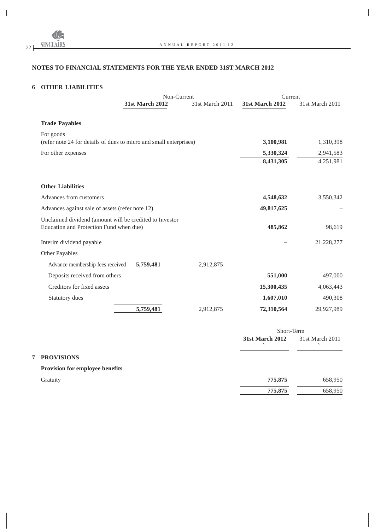$\overline{\phantom{0}}$ 

## **NOTES TO FINANCIAL STATEMENTS FOR THE YEAR ENDED 31ST MARCH 2012**

## **6 OTHER LIABILITIES**

|                                                                                                    | Non-Current     | Current         |                 |
|----------------------------------------------------------------------------------------------------|-----------------|-----------------|-----------------|
| <b>31st March 2012</b>                                                                             | 31st March 2011 | 31st March 2012 | 31st March 2011 |
| <b>Trade Payables</b>                                                                              |                 |                 |                 |
| For goods<br>(refer note 24 for details of dues to micro and small enterprises)                    |                 | 3,100,981       | 1,310,398       |
| For other expenses                                                                                 |                 | 5,330,324       | 2,941,583       |
|                                                                                                    |                 | 8,431,305       | 4,251,981       |
| <b>Other Liabilities</b>                                                                           |                 |                 |                 |
| Advances from customers                                                                            |                 | 4,548,632       | 3,550,342       |
| Advances against sale of assets (refer note 12)                                                    |                 | 49,817,625      |                 |
| Unclaimed dividend (amount will be credited to Investor<br>Education and Protection Fund when due) |                 | 485,862         | 98,619          |
| Interim dividend payable                                                                           |                 |                 | 21,228,277      |
| Other Payables                                                                                     |                 |                 |                 |
| Advance membership fees received<br>5,759,481                                                      | 2,912,875       |                 |                 |
| Deposits received from others                                                                      |                 | 551,000         | 497,000         |
| Creditors for fixed assets                                                                         |                 | 15,300,435      | 4,063,443       |
| Statutory dues                                                                                     |                 | 1,607,010       | 490,308         |
| 5,759,481                                                                                          | 2,912,875       | 72,310,564      | 29,927,989      |

|                                 | Short-Term                                         |                                             |  |
|---------------------------------|----------------------------------------------------|---------------------------------------------|--|
|                                 | <b>31st March 2012</b><br>$\overline{\phantom{a}}$ | 31st March 2011<br>$\overline{\phantom{0}}$ |  |
| 7 PROVISIONS                    |                                                    |                                             |  |
| Provision for employee benefits |                                                    |                                             |  |
| Gratuity                        | 775,875                                            | 658,950                                     |  |
|                                 | 775,875                                            | 658,950                                     |  |
|                                 |                                                    |                                             |  |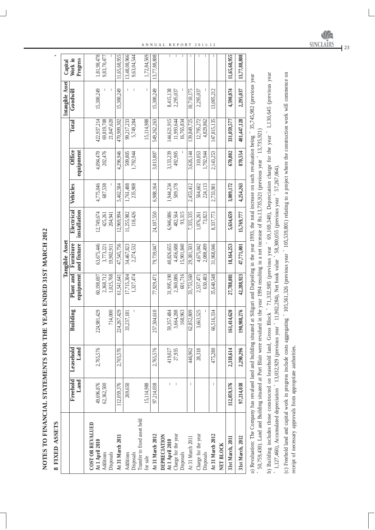NOTES TO FINANCIAL STATEMENTS FOR THE YEAR ENDED 31ST MARCH 2012 **NOTES TO FINANCIAL STATEMENTS FOR THE YEAR ENDED 31ST MARCH 2012**

`

8 FIXED ASSETS **8 FIXED ASSETS**

|                                          |                  |                   |               |            | Tangible Asset                     |                            |           |                     |             | Intangible Asset  | Capital             |
|------------------------------------------|------------------|-------------------|---------------|------------|------------------------------------|----------------------------|-----------|---------------------|-------------|-------------------|---------------------|
|                                          | Freehold<br>Land | Land<br>Leasehold | Building      | Plant and  | Furniture<br>equipment and fixture | Electrical<br>installation | Vehicles  | Office<br>equipment | Total       | $_{\rm Goodwill}$ | Work in<br>Progress |
| <b>COST OR REVALUED</b>                  |                  |                   |               |            |                                    |                            |           |                     |             |                   |                     |
| At 1 April 2010                          | 49,696,876       | 2,765,576         | 224,981,429   | 60,198,697 | 63,675,446                         | 12,749,674                 | 4,775,046 | 4,094,470           | 422,937,214 | 15,300,249        | 1,81,98,478         |
| Additions                                | 62,362,500       |                   |               | 2,368,712  | 3,773,221                          | 425,261                    | 687,538   | 202,476             | 69,819,708  |                   | 9,83,70,477         |
| Disposals                                |                  |                   | 714,000       | 1,025,768  | 9,902,911                          | 204.941                    |           |                     | 21,847,620  |                   |                     |
| At 31 March 2011                         | 112,059,376      | 2,765,576         | 224.267.429   | 61,541,64  | 47,545,756                         | 12.969.994                 | 5,462,584 | 4,296,946           | 470,909,302 | 15.300.249        | 11,65,68,955        |
| Additions                                | 269,650          |                   | 33,237,181    | 17.715.304 | 34,467,823                         | 11,255,982                 | 1,761,488 | 509,805             | 99,217,233  |                   | 13.48.08.966        |
| Disposals                                |                  |                   |               | 1,327,474  | 2,274,532                          | 118,426                    | 235,908   | 1,792,944           | 5,749,284   |                   | 9,63,04,544         |
| Transfer to fixed asset held<br>for sale | 15,114,988       |                   |               |            |                                    |                            |           |                     | 15,114,988  |                   | 1,72,84,569         |
| At 31 March 2012                         | 97,214,038       | 2,765,576         | 257,504,610   | 77,929,47  | 79,739,047                         | 24,107,550                 | 6,988,164 | 3,013,807           | 549,262,263 | 15,300,249        | 13,77,88,808        |
| DEPRECIATION                             |                  |                   |               |            |                                    |                            |           |                     |             |                   |                     |
| At 1 April 2010<br>Charge for the year   |                  | 419,027           | 59,357,484    | 31,995,190 | 40,826,655                         | 6,946,086                  | .944.234  | 3,133,239           | 44,621,915  | 8,415,138         |                     |
|                                          |                  | 27,935            | 3.664.288     | 2,360,086  | 4.456.688                          | 482,564                    | 509,178   | 492,905             | 1.993.644   | 2,295,037         |                     |
| Disposals                                |                  |                   | 168,963       | 601,716    | 5,901,840                          | 93,315                     |           |                     | 16,765,834  |                   |                     |
| At 31 March 2011                         | $\overline{1}$   | 446,962           | 62,852,809    | 33,753,560 | 29,381,503                         | 7,335,335                  | 2.453,412 | 3,626,144           | 39,849,725  | 10,710,175        |                     |
| Charge for the year<br>Disposals         |                  | 28,318            | 3,663,525     | 2,537,471  | 4,675,042                          | 1,076,261                  | 504,602   | 310,053             | 12,795,272  | 2,295,037         |                     |
|                                          |                  |                   |               | 650,483    | 2,088,499                          | 73,823                     | 224,113   | 1,792,944           | 4,829,862   |                   |                     |
| At 31 March 2012                         | L                | 475,280           | 66.516.334    | 35,640,548 | 31,968,046                         | 8,337,773                  | 2,733,901 | 2,143,253           | 147.815.135 | 13.005.212        |                     |
| NET BLOCK                                |                  |                   |               |            |                                    |                            |           |                     |             |                   |                     |
| 31st March, 2011                         | 112,059,376      | 2,318,614         | 161,414,620   | 27,788,081 | 18,164,253                         | 5,634,659                  | 3,009,172 | 670,802             | 331,059,577 | 4,590,074         | 11,65,68,955        |
| 31st March, 2012                         | 97,214,038       | 2,290,296         | 190,988,276   | 42,288,923 | 47,771,001                         | 15,769,777                 | 4,254,263 | 870,554             | 401,447,128 | 2,295,037         | 13,77,88,808        |
|                                          |                  |                   | $\frac{1}{5}$ |            |                                    |                            |           |                     |             |                   |                     |

a) Revaluation: The Company has revalued land and building situated at Siliguri and Darjeeling in the year 1993, the total increase on such revaluation being 35,745,982 (previous year a) Revaluation: The Company has revalued land and building situated at Siliguri and Darjeeling in the year 1993, the total increase on such revaluation being ` 35,745,982 (previous year 50,759,430). Land and Building situated at Port Blair were revalued in the year 1994 resulting in a net increase of Rs.13,735,921 (previous year ` 13,735,921) ` 50,759,430). Land and Building situated at Port Blair were revalued in the year 1994 resulting in a net increase of Rs.13,735,921 (previous year ` 13,735,921)

b) Building includes those constructed on leasehold land, Gross Block 71,332,985 (previous year 69,169,348), Depreciation charge for the year 1,130,645 (previous year b) Building includes those constructed on leasehold land, Gross Block ` 71,332,985 (previous year ` 69,169,348), Depreciation charge for the year ` 1,130,645 (previous year 1,127,460), Accumulated depreciation 13,032,929 (previous year 11,902,284), Net book value 58,300,055 (previous year 57,267,064). ` 1,127,460), Accumulated depreciation ` 13,032,929 (previous year ` 11,902,284), Net book value ` 58,300,055 (previous year ` 57,267,064).

(c) Freehold land and capital work in progress include costs aggregating ` 105,561,326 (previous year ` 105,539,801) relating to a project where the construction work will commence on (c) Freehold land and capital work in progress include costs aggregating ` 105,561,326 (previous year ` 105,539,801) relating to a project where the construction work will commence on receipt of necessary approvals from appropriate authorities. receipt of necessary approvals from appropriate authorities.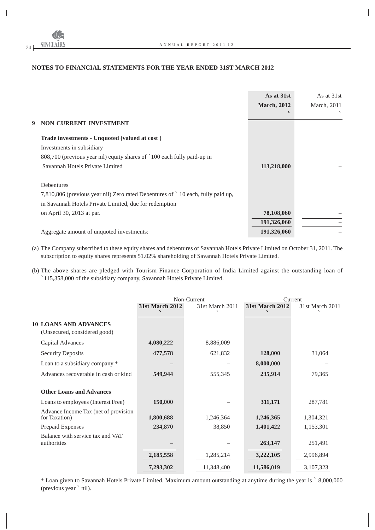|   |                                                                                  | As at 31st         | As at 31st  |
|---|----------------------------------------------------------------------------------|--------------------|-------------|
|   |                                                                                  | <b>March, 2012</b> | March, 2011 |
|   |                                                                                  |                    |             |
| 9 | NON CURRENT INVESTMENT                                                           |                    |             |
|   | Trade investments - Unquoted (valued at cost)                                    |                    |             |
|   | Investments in subsidiary                                                        |                    |             |
|   | 808,700 (previous year nil) equity shares of `100 each fully paid-up in          |                    |             |
|   | Savannah Hotels Private Limited                                                  | 113,218,000        |             |
|   | Debentures                                                                       |                    |             |
|   | 7,810,806 (previous year nil) Zero rated Debentures of ` 10 each, fully paid up, |                    |             |
|   | in Savannah Hotels Private Limited, due for redemption                           |                    |             |
|   | on April 30, 2013 at par.                                                        | 78,108,060         |             |
|   |                                                                                  | 191,326,060        |             |
|   | Aggregate amount of unquoted investments:                                        | 191,326,060        |             |

(a) The Company subscribed to these equity shares and debentures of Savannah Hotels Private Limited on October 31, 2011. The subscription to equity shares represents 51.02% shareholding of Savannah Hotels Private Limited.

(b) The above shares are pledged with Tourism Finance Corporation of India Limited against the outstanding loan of `115,358,000 of the subsidiary company, Savannah Hotels Private Limited.

|                                                              |                        | Non-Current     | Current                |                 |
|--------------------------------------------------------------|------------------------|-----------------|------------------------|-----------------|
|                                                              | <b>31st March 2012</b> | 31st March 2011 | <b>31st March 2012</b> | 31st March 2011 |
| <b>10 LOANS AND ADVANCES</b><br>(Unsecured, considered good) |                        |                 |                        |                 |
| Capital Advances                                             | 4,080,222              | 8,886,009       |                        |                 |
| <b>Security Deposits</b>                                     | 477,578                | 621,832         | 128,000                | 31,064          |
| Loan to a subsidiary company *                               |                        |                 | 8,000,000              |                 |
| Advances recoverable in cash or kind                         | 549,944                | 555,345         | 235,914                | 79,365          |
| <b>Other Loans and Advances</b>                              |                        |                 |                        |                 |
| Loans to employees (Interest Free)                           | 150,000                |                 | 311,171                | 287,781         |
| Advance Income Tax (net of provision<br>for Taxation)        | 1,800,688              | 1,246,364       | 1,246,365              | 1,304,321       |
| Prepaid Expenses                                             | 234,870                | 38,850          | 1,401,422              | 1,153,301       |
| Balance with service tax and VAT<br>authorities              |                        |                 | 263,147                | 251,491         |
|                                                              | 2,185,558              | 1,285,214       | 3,222,105              | 2,996,894       |
|                                                              | 7,293,302              | 11,348,400      | 11,586,019             | 3,107,323       |

\* Loan given to Savannah Hotels Private Limited. Maximum amount outstanding at anytime during the year is ` 8,000,000 (previous year ` nil).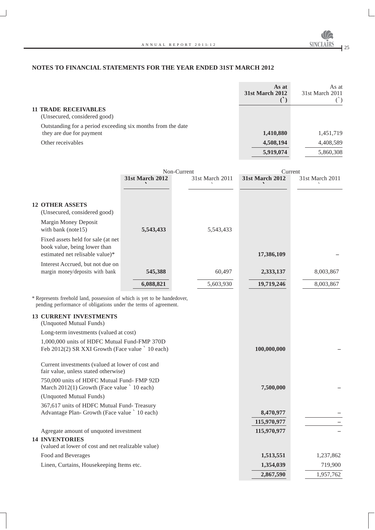$\Box$ 

|                                                                                         | As at<br><b>31st March 2012</b> | As at<br>31st March 2011 |
|-----------------------------------------------------------------------------------------|---------------------------------|--------------------------|
| <b>11 TRADE RECEIVABLES</b><br>(Unsecured, considered good)                             |                                 |                          |
| Outstanding for a period exceeding six months from the date<br>they are due for payment | 1,410,880                       | 1,451,719                |
| Other receivables                                                                       | 4,508,194                       | 4,408,589                |
|                                                                                         | 5,919,074                       | 5,860,308                |

|                                                                                                                                                                               |                        | Non-Current     | Current                |                 |
|-------------------------------------------------------------------------------------------------------------------------------------------------------------------------------|------------------------|-----------------|------------------------|-----------------|
|                                                                                                                                                                               | <b>31st March 2012</b> | 31st March 2011 | <b>31st March 2012</b> | 31st March 2011 |
|                                                                                                                                                                               |                        |                 |                        |                 |
| <b>12 OTHER ASSETS</b><br>(Unsecured, considered good)                                                                                                                        |                        |                 |                        |                 |
| Margin Money Deposit<br>with bank (note15)                                                                                                                                    | 5,543,433              | 5,543,433       |                        |                 |
| Fixed assets held for sale (at net<br>book value, being lower than<br>estimated net relisable value)*                                                                         |                        |                 | 17,386,109             |                 |
| Interest Accrued, but not due on<br>margin money/deposits with bank                                                                                                           | 545,388                | 60,497          | 2,333,137              | 8,003,867       |
|                                                                                                                                                                               | 6,088,821              | 5,603,930       | 19,719,246             | 8,003,867       |
| * Represents freehold land, possession of which is yet to be handedover,<br>pending performance of obligations under the terms of agreement.<br><b>13 CURRENT INVESTMENTS</b> |                        |                 |                        |                 |
| (Unquoted Mutual Funds)                                                                                                                                                       |                        |                 |                        |                 |
| Long-term investments (valued at cost)                                                                                                                                        |                        |                 |                        |                 |
| 1,000,000 units of HDFC Mutual Fund-FMP 370D<br>Feb 2012(2) SR XXI Growth (Face value ` 10 each)                                                                              |                        |                 | 100,000,000            |                 |
| Current investments (valued at lower of cost and<br>fair value, unless stated otherwise)                                                                                      |                        |                 |                        |                 |
| 750,000 units of HDFC Mutual Fund- FMP 92D<br>March 2012(1) Growth (Face value ` 10 each)                                                                                     |                        |                 | 7,500,000              |                 |
| (Unquoted Mutual Funds)                                                                                                                                                       |                        |                 |                        |                 |
| 367,617 units of HDFC Mutual Fund- Treasury<br>Advantage Plan- Growth (Face value ` 10 each)                                                                                  |                        |                 | 8,470,977              |                 |
|                                                                                                                                                                               |                        |                 | 115,970,977            |                 |
| Agregate amount of unquoted investment                                                                                                                                        |                        |                 | 115,970,977            |                 |
| <b>14 INVENTORIES</b>                                                                                                                                                         |                        |                 |                        |                 |
| (valued at lower of cost and net realizable value)                                                                                                                            |                        |                 |                        |                 |
| Food and Beverages                                                                                                                                                            |                        |                 | 1,513,551              | 1,237,862       |
| Linen, Curtains, Housekeeping Items etc.                                                                                                                                      |                        |                 | 1,354,039              | 719,900         |
|                                                                                                                                                                               |                        |                 | 2,867,590              | 1,957,762       |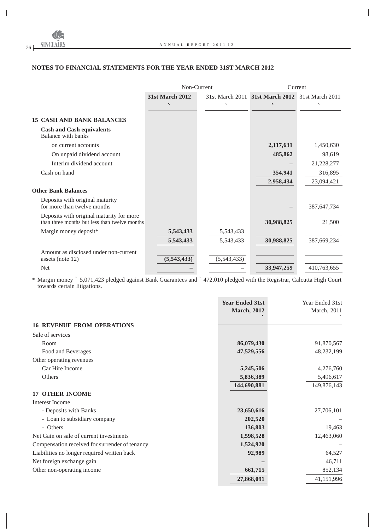$\overline{\phantom{a}}$ 

## **NOTES TO FINANCIAL STATEMENTS FOR THE YEAR ENDED 31ST MARCH 2012**

|                                                                                           |                        | Non-Current | Current                                         |             |
|-------------------------------------------------------------------------------------------|------------------------|-------------|-------------------------------------------------|-------------|
|                                                                                           | <b>31st March 2012</b> |             | 31st March 2011 31st March 2012 31st March 2011 |             |
|                                                                                           |                        |             |                                                 |             |
| <b>15 CASH AND BANK BALANCES</b>                                                          |                        |             |                                                 |             |
| <b>Cash and Cash equivalents</b><br>Balance with banks                                    |                        |             |                                                 |             |
| on current accounts                                                                       |                        |             | 2,117,631                                       | 1,450,630   |
| On unpaid dividend account                                                                |                        |             | 485,862                                         | 98,619      |
| Interim dividend account                                                                  |                        |             |                                                 | 21,228,277  |
| Cash on hand                                                                              |                        |             | 354,941                                         | 316,895     |
|                                                                                           |                        |             | 2,958,434                                       | 23,094,421  |
| <b>Other Bank Balances</b>                                                                |                        |             |                                                 |             |
| Deposits with original maturity<br>for more than twelve months                            |                        |             |                                                 | 387,647,734 |
| Deposits with original maturity for more<br>than three months but less than twelve months |                        |             | 30,988,825                                      | 21,500      |
| Margin money deposit*                                                                     | 5,543,433              | 5,543,433   |                                                 |             |
|                                                                                           | 5,543,433              | 5,543,433   | 30,988,825                                      | 387,669,234 |
| Amount as disclosed under non-current                                                     |                        |             |                                                 |             |
| assets (note 12)                                                                          | (5,543,433)            | (5,543,433) |                                                 |             |
| <b>Net</b>                                                                                |                        |             | 33,947,259                                      | 410,763,655 |

\* Margin money ` 5,071,423 pledged against Bank Guarantees and ` 472,010 pledged with the Registrar, Calcutta High Court towards certain litigations.

|                                                | <b>Year Ended 31st</b> | Year Ended 31st |
|------------------------------------------------|------------------------|-----------------|
|                                                | <b>March</b> , 2012    | March, 2011     |
| <b>16 REVENUE FROM OPERATIONS</b>              |                        |                 |
| Sale of services                               |                        |                 |
| Room                                           | 86,079,430             | 91,870,567      |
| Food and Beverages                             | 47,529,556             | 48,232,199      |
| Other operating revenues                       |                        |                 |
| Car Hire Income                                | 5,245,506              | 4,276,760       |
| Others                                         | 5,836,389              | 5,496,617       |
|                                                | 144,690,881            | 149,876,143     |
| 17 OTHER INCOME                                |                        |                 |
| Interest Income                                |                        |                 |
| - Deposits with Banks                          | 23,650,616             | 27,706,101      |
| - Loan to subsidiary company                   | 202,520                |                 |
| - Others                                       | 136,803                | 19,463          |
| Net Gain on sale of current investments        | 1,598,528              | 12,463,060      |
| Compensation received for surrender of tenancy | 1,524,920              |                 |
| Liabilities no longer required written back    | 92,989                 | 64,527          |
| Net foreign exchange gain                      |                        | 46,711          |
| Other non-operating income                     | 661,715                | 852,134         |
|                                                | 27,868,091             | 41,151,996      |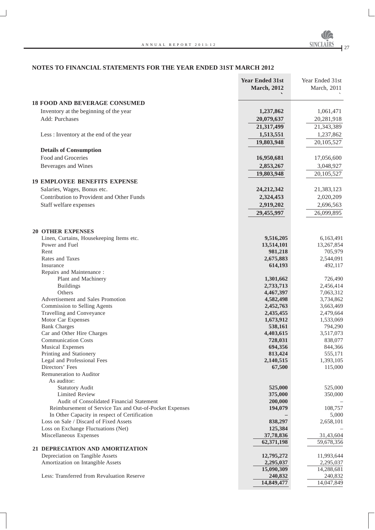A N N U A L REPORT 2011-12 SINCLAIRS 27

## **NOTES TO FINANCIAL STATEMENTS FOR THE YEAR ENDED 31ST MARCH 2012**

 $\Box$ 

|                                                            | <b>Year Ended 31st</b>  | Year Ended 31st         |
|------------------------------------------------------------|-------------------------|-------------------------|
|                                                            | <b>March</b> , 2012     | March, 2011             |
| <b>18 FOOD AND BEVERAGE CONSUMED</b>                       |                         |                         |
| Inventory at the beginning of the year                     | 1,237,862               | 1,061,471               |
| Add: Purchases                                             | 20,079,637              | 20,281,918              |
|                                                            | 21,317,499              | 21,343,389              |
| Less: Inventory at the end of the year                     | 1,513,551               | 1,237,862               |
|                                                            | 19,803,948              | 20, 105, 527            |
| <b>Details of Consumption</b>                              |                         |                         |
| Food and Groceries                                         | 16,950,681              | 17,056,600              |
| Beverages and Wines                                        | 2,853,267               | 3,048,927               |
|                                                            | 19,803,948              | 20,105,527              |
| <b>19 EMPLOYEE BENEFITS EXPENSE</b>                        |                         |                         |
| Salaries, Wages, Bonus etc.                                | 24,212,342              | 21,383,123              |
| Contribution to Provident and Other Funds                  | 2,324,453               | 2,020,209               |
| Staff welfare expenses                                     | 2,919,202               | 2,696,563               |
|                                                            | 29,455,997              | 26,099,895              |
|                                                            |                         |                         |
| <b>20 OTHER EXPENSES</b>                                   |                         |                         |
| Linen, Curtains, Housekeeping Items etc.<br>Power and Fuel | 9,516,205               | 6,163,491               |
| Rent                                                       | 13,514,101<br>981,218   | 13,267,854<br>705,979   |
| Rates and Taxes                                            | 2,675,883               | 2,544,091               |
| Insurance                                                  | 614,193                 | 492,117                 |
| Repairs and Maintenance:                                   |                         |                         |
| Plant and Machinery                                        | 1,301,662               | 726,490                 |
| <b>Buildings</b>                                           | 2,733,713               | 2,456,414               |
| <b>Others</b>                                              | 4,467,397               | 7,063,312               |
| Advertisement and Sales Promotion                          | 4,582,498               | 3,734,862               |
| Commission to Selling Agents<br>Travelling and Conveyance  | 2,452,763<br>2,435,455  | 3,663,469<br>2,479,664  |
| Motor Car Expenses                                         | 1,673,912               | 1,533,069               |
| <b>Bank Charges</b>                                        | 538,161                 | 794,290                 |
| Car and Other Hire Charges                                 | 4,403,615               | 3,517,073               |
| <b>Communication Costs</b>                                 | 728,031                 | 838,077                 |
| <b>Musical Expenses</b>                                    | 694,356                 | 844,366                 |
| Printing and Stationery                                    | 813,424                 | 555,171                 |
| Legal and Professional Fees                                | 2,140,515               | 1,393,105               |
| Directors' Fees<br>Remuneration to Auditor                 | 67,500                  | 115,000                 |
| As auditor:                                                |                         |                         |
| <b>Statutory Audit</b>                                     | 525,000                 | 525,000                 |
| <b>Limited Review</b>                                      | 375,000                 | 350,000                 |
| Audit of Consolidated Financial Statement                  | 200,000                 |                         |
| Reimbursement of Service Tax and Out-of-Pocket Expenses    | 194,079                 | 108,757                 |
| In Other Capacity in respect of Certification              |                         | 5,000                   |
| Loss on Sale / Discard of Fixed Assets                     | 838,297                 | 2,658,101               |
| Loss on Exchange Fluctuations (Net)                        | 125,384                 |                         |
| Miscellaneous Expenses                                     | 37,78,836<br>62,371,198 | 31,43,604<br>59,678,356 |
| 21 DEPRECIATION AND AMORTIZATION                           |                         |                         |
| Depreciation on Tangible Assets                            | 12,795,272              | 11,993,644              |
| Amortization on Intangible Assets                          | 2,295,037               | 2,295,037               |
|                                                            | 15,090,309              | 14,288,681              |
| Less: Transferred from Revaluation Reserve                 | 240,832                 | 240,832                 |
|                                                            | 14,849,477              | 14,047,849              |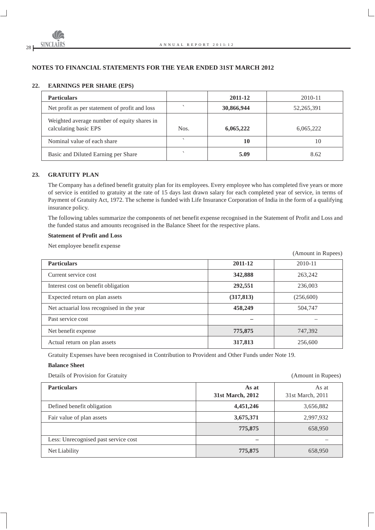

## **22. EARNINGS PER SHARE (EPS)**

| <b>Particulars</b>                                                   |                          | 2011-12    | 2010-11      |
|----------------------------------------------------------------------|--------------------------|------------|--------------|
| Net profit as per statement of profit and loss                       |                          | 30,866,944 | 52, 265, 391 |
| Weighted average number of equity shares in<br>calculating basic EPS | Nos.                     | 6,065,222  | 6,065,222    |
| Nominal value of each share                                          | $\overline{\phantom{a}}$ | 10         | 10           |
| Basic and Diluted Earning per Share                                  |                          | 5.09       | 8.62         |

## **23. GRATUITY PLAN**

The Company has a defined benefit gratuity plan for its employees. Every employee who has completed five years or more of service is entitled to gratuity at the rate of 15 days last drawn salary for each completed year of service, in terms of Payment of Gratuity Act, 1972. The scheme is funded with Life Insurance Corporation of India in the form of a qualifying insurance policy.

The following tables summarize the components of net benefit expense recognised in the Statement of Profit and Loss and the funded status and amounts recognised in the Balance Sheet for the respective plans.

#### **Statement of Profit and Loss**

Net employee benefit expense

|                                           |            | (Amount in Rupees) |
|-------------------------------------------|------------|--------------------|
| <b>Particulars</b>                        | 2011-12    | 2010-11            |
| Current service cost                      | 342,888    | 263,242            |
| Interest cost on benefit obligation       | 292,551    | 236,003            |
| Expected return on plan assets            | (317, 813) | (256,600)          |
| Net actuarial loss recognised in the year | 458,249    | 504,747            |
| Past service cost                         |            |                    |
| Net benefit expense                       | 775,875    | 747,392            |
| Actual return on plan assets              | 317,813    | 256,600            |

Gratuity Expenses have been recognised in Contribution to Provident and Other Funds under Note 19.

#### **Balance Sheet**

| Details of Provision for Gratuity    |                           | (Amount in Rupees)        |
|--------------------------------------|---------------------------|---------------------------|
| <b>Particulars</b>                   | As at<br>31st March, 2012 | As at<br>31st March, 2011 |
| Defined benefit obligation           | 4,451,246                 | 3,656,882                 |
| Fair value of plan assets            | 3,675,371                 | 2,997,932                 |
|                                      | 775,875                   | 658,950                   |
| Less: Unrecognised past service cost |                           |                           |
| Net Liability                        | 775,875                   | 658,950                   |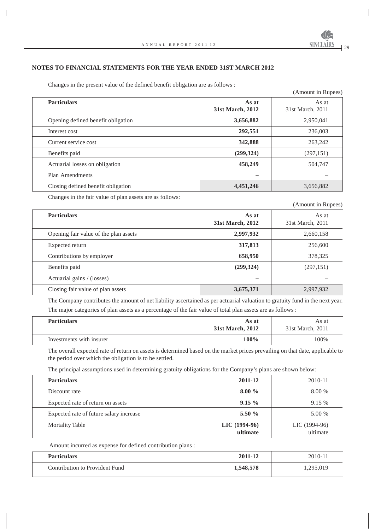Changes in the present value of the defined benefit obligation are as follows :

|                                    |                           | (Amount in Rupees)        |
|------------------------------------|---------------------------|---------------------------|
| <b>Particulars</b>                 | As at<br>31st March, 2012 | As at<br>31st March, 2011 |
| Opening defined benefit obligation | 3,656,882                 | 2,950,041                 |
| Interest cost                      | 292,551                   | 236,003                   |
| Current service cost               | 342,888                   | 263,242                   |
| Benefits paid                      | (299, 324)                | (297, 151)                |
| Actuarial losses on obligation     | 458,249                   | 504,747                   |
| Plan Amendments                    |                           |                           |
| Closing defined benefit obligation | 4,451,246                 | 3,656,882                 |

Changes in the fair value of plan assets are as follows:

**Particulars** As at As at As at As at As at As at As at As at As at As at As at As at As at As at As at As at As at As at As at As at As at As at As at As at As at As at As at As at As at As at As at As at As at As at As a **31st March, 2012** 31st March, 2011 Opening fair value of the plan assets **2,997,932** 2,660,158 Expected return **317,813** 256,600 Contributions by employer **658,950** 378,325 Benefits paid **(299,324)** (297,151) Actuarial gains / (losses) **–** – Closing fair value of plan assets **3,675,371** 2,997,932

The Company contributes the amount of net liability ascertained as per actuarial valuation to gratuity fund in the next year. The major categories of plan assets as a percentage of the fair value of total plan assets are as follows :

| <b>Particulars</b>       | As at<br>31st March, 2012 | As at<br>31st March, 2011 |
|--------------------------|---------------------------|---------------------------|
| Investments with insurer | 100%                      | 100%                      |

The overall expected rate of return on assets is determined based on the market prices prevailing on that date, applicable to the period over which the obligation is to be settled.

The principal assumptions used in determining gratuity obligations for the Company's plans are shown below:

| <b>Particulars</b>                      | 2011-12                    | 2010-11                   |
|-----------------------------------------|----------------------------|---------------------------|
| Discount rate                           | $8.00 \%$                  | 8.00 %                    |
| Expected rate of return on assets       | $9.15\%$                   | 9.15 %                    |
| Expected rate of future salary increase | 5.50 $%$                   | 5.00 %                    |
| <b>Mortality Table</b>                  | $LIC(1994-96)$<br>ultimate | LIC (1994-96)<br>ultimate |

Amount incurred as expense for defined contribution plans :

| <b>Particulars</b>             | 2011-12   | 2010-11   |
|--------------------------------|-----------|-----------|
| Contribution to Provident Fund | 1,548,578 | 1,295,019 |

(Amount in Rupees)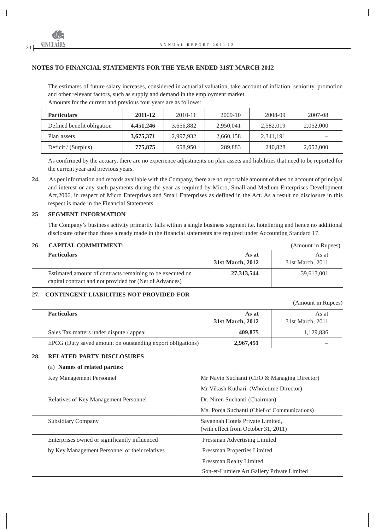

The estimates of future salary increases, considered in actuarial valuation, take account of inflation, seniority, promotion and other relevant factors, such as supply and demand in the employment market. Amounts for the current and previous four years are as follows:

| <b>Particulars</b>         | 2011-12   | 2010-11   | $2009-10$ | 2008-09   | 2007-08   |
|----------------------------|-----------|-----------|-----------|-----------|-----------|
| Defined benefit obligation | 4.451.246 | 3.656.882 | 2,950,041 | 2,582,019 | 2,052,000 |
| Plan assets                | 3.675.371 | 2.997.932 | 2,660,158 | 2.341.191 |           |
| Deficit / (Surplus)        | 775,875   | 658,950   | 289,883   | 240,828   | 2,052,000 |

As confirmed by the actuary, there are no experience adjustments on plan assets and liabilities that need to be reported for the current year and previous years.

**24.** As per information and records available with the Company, there are no reportable amount of dues on account of principal and interest or any such payments during the year as required by Micro, Small and Medium Enterprises Development Act,2006, in respect of Micro Enterprises and Small Enterprises as defined in the Act. As a result no disclosure in this respect is made in the Financial Statements.

## **25 SEGMENT INFORMATION**

The Company's business activity primarily falls within a single business segment i.e. hoteliering and hence no additional disclosure other than those already made in the financial statements are required under Accounting Standard 17.

## **26 CAPITAL COMMITMENT:** (Amount in Rupees)

| $\sim$ 11 | CALITAL COMMITTMENT.                                                                                                 | (Allioulit III Kupces) |                  |  |
|-----------|----------------------------------------------------------------------------------------------------------------------|------------------------|------------------|--|
|           | <b>Particulars</b>                                                                                                   | As at                  | As at            |  |
|           |                                                                                                                      | 31st March, 2012       | 31st March, 2011 |  |
|           | Estimated amount of contracts remaining to be executed on<br>capital contract and not provided for (Net of Advances) | 27,313,544             | 39,613,001       |  |

## **27. CONTINGENT LIABILITIES NOT PROVIDED FOR**

(Amount in Rupees)

| <b>Particulars</b>                                         | As at<br>31st March, 2012 | As at<br>31st March, 2011 |
|------------------------------------------------------------|---------------------------|---------------------------|
| Sales Tax matters under dispute / appeal                   | 409,875                   | 1,129,836                 |
| EPCG (Duty saved amount on outstanding export obligations) | 2,967,451                 |                           |

## **28. RELATED PARTY DISCLOSURES**

## (a) **Names of related parties:**

| Key Management Personnel                       | Mr Navin Suchanti (CEO & Managing Director)  |
|------------------------------------------------|----------------------------------------------|
|                                                | Mr Vikash Kuthari (Wholetime Director)       |
| Relatives of Key Management Personnel          | Dr. Niren Suchanti (Chairman)                |
|                                                | Ms. Pooja Suchanti (Chief of Communications) |
| <b>Subsidiary Company</b>                      | Savannah Hotels Private Limited,             |
|                                                | (with effect from October 31, 2011)          |
| Enterprises owned or significantly influenced  | Pressman Advertising Limited                 |
| by Key Management Personnel or their relatives | Pressman Properties Limited                  |
|                                                | Pressman Realty Limited                      |
|                                                | Son-et-Lumiere Art Gallery Private Limited   |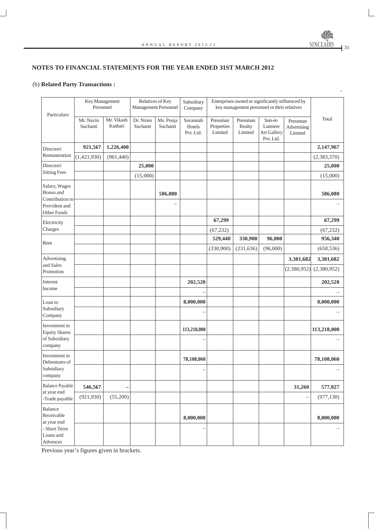

## (b) **Related Party Transactions :**

 $\overline{\phantom{0}}$ 

| Particulars                                   | Key Management<br>Personnel |                       | Relatives of Key<br>Management Personnel |                       | Subsidiary<br>Company           | Enterprises owned or significantly influenced by<br>key management personnel or their relatives |                               |                                                |                                    |             |
|-----------------------------------------------|-----------------------------|-----------------------|------------------------------------------|-----------------------|---------------------------------|-------------------------------------------------------------------------------------------------|-------------------------------|------------------------------------------------|------------------------------------|-------------|
|                                               | Mr. Navin<br>Suchanti       | Mr. Vikash<br>Kuthari | Dr. Niren<br>Suchanti                    | Ms. Pooja<br>Suchanti | Savannah<br>Hotels<br>Pvt. Ltd. | Pressman<br>Properties<br>Limited                                                               | Pressman<br>Realty<br>Limited | Son-et-<br>Lumiere<br>Art Gallery<br>Pvt. Ltd. | Pressman<br>Advertising<br>Limited | Total       |
| Directors'                                    | 921,567                     | 1,226,400             |                                          |                       |                                 |                                                                                                 |                               |                                                |                                    | 2,147,967   |
| Remuneration                                  | (1,421,930)                 | (961, 440)            |                                          |                       |                                 |                                                                                                 |                               |                                                |                                    | (2,383,370) |
| Directors'                                    |                             |                       | 25,000                                   |                       |                                 |                                                                                                 |                               |                                                |                                    | 25,000      |
| <b>Sitting Fees</b>                           |                             |                       | (15,000)                                 |                       |                                 |                                                                                                 |                               |                                                |                                    | (15,000)    |
| Salary, Wages<br>Bonus and<br>Contribution to |                             |                       |                                          | 586,080               |                                 |                                                                                                 |                               |                                                |                                    | 586,080     |
| Provident and<br>Other Funds                  |                             |                       |                                          |                       |                                 |                                                                                                 |                               |                                                |                                    |             |
| Electricity                                   |                             |                       |                                          |                       |                                 | 67,299                                                                                          |                               |                                                |                                    | 67,299      |
| Charges                                       |                             |                       |                                          |                       |                                 | (67, 232)                                                                                       |                               |                                                |                                    | (67, 232)   |
| Rent                                          |                             |                       |                                          |                       |                                 | 529,440                                                                                         | 330,900                       | 96,000                                         |                                    | 956,340     |
|                                               |                             |                       |                                          |                       |                                 | (330,900)                                                                                       | (231, 636)                    | (96,000)                                       |                                    | (658, 536)  |
| Advertising                                   |                             |                       |                                          |                       |                                 |                                                                                                 |                               |                                                | 3,301,682                          | 3,301,682   |
| and Sales<br>Promotion                        |                             |                       |                                          |                       |                                 |                                                                                                 |                               |                                                | (2,380,952)                        | (2,380,952) |
| Interest                                      |                             |                       |                                          |                       | 202,520                         |                                                                                                 |                               |                                                |                                    | 202,520     |
| Income                                        |                             |                       |                                          |                       |                                 |                                                                                                 |                               |                                                |                                    |             |
| Loan to                                       |                             |                       |                                          |                       | 8,000,000                       |                                                                                                 |                               |                                                |                                    | 8,000,000   |
| Subsidiary<br>Company                         |                             |                       |                                          |                       |                                 |                                                                                                 |                               |                                                |                                    |             |
| Investment in<br><b>Equity Shares</b>         |                             |                       |                                          |                       | 113,218,000                     |                                                                                                 |                               |                                                |                                    | 113,218,000 |
| of Subsidiary<br>company                      |                             |                       |                                          |                       |                                 |                                                                                                 |                               |                                                |                                    |             |
| Investment in                                 |                             |                       |                                          |                       | 78,108,060                      |                                                                                                 |                               |                                                |                                    | 78,108,060  |
| Debentures of<br>Subsidiary<br>company        |                             |                       |                                          |                       |                                 |                                                                                                 |                               |                                                |                                    |             |
| <b>Balance Payable</b>                        | 546,567                     |                       |                                          |                       |                                 |                                                                                                 |                               |                                                | 31,260                             | 577,827     |
| at year end<br>-Trade payable                 | (921, 930)                  | (55,200)              |                                          |                       |                                 |                                                                                                 |                               |                                                |                                    | (977, 130)  |
| Balance<br>Receivable<br>at year end          |                             |                       |                                          |                       | 8,000,000                       |                                                                                                 |                               |                                                |                                    | 8,000,000   |
| - Short Term<br>Loans and<br>Advences         |                             |                       |                                          |                       |                                 |                                                                                                 |                               |                                                |                                    |             |

Previous year's figures given in brackets.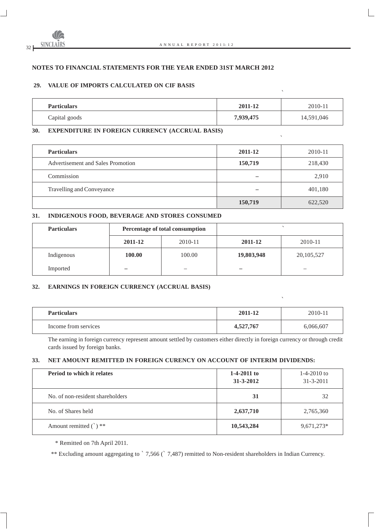`

`

## **NOTES TO FINANCIAL STATEMENTS FOR THE YEAR ENDED 31ST MARCH 2012**

## **29. VALUE OF IMPORTS CALCULATED ON CIF BASIS**

| <b>Particulars</b> | 2011-12   | 2010-11    |
|--------------------|-----------|------------|
| Capital goods      | 7,939,475 | 14,591,046 |

## **30. EXPENDITURE IN FOREIGN CURRENCY (ACCRUAL BASIS)**

|                                   |         | $\overline{\phantom{a}}$ |
|-----------------------------------|---------|--------------------------|
| <b>Particulars</b>                | 2011-12 | 2010-11                  |
| Advertisement and Sales Promotion | 150,719 | 218,430                  |
| Commission                        |         | 2,910                    |
| Travelling and Conveyance         |         | 401,180                  |
|                                   | 150,719 | 622,520                  |

## **31. INDIGENOUS FOOD, BEVERAGE AND STORES CONSUMED**

| <b>Particulars</b> |         | Percentage of total consumption |            | $\overline{\phantom{a}}$ |
|--------------------|---------|---------------------------------|------------|--------------------------|
|                    | 2011-12 | 2010-11                         | 2011-12    | 2010-11                  |
| Indigenous         | 100.00  | 100.00                          | 19,803,948 | 20, 105, 527             |
| Imported           |         |                                 |            |                          |

## **32. EARNINGS IN FOREIGN CURRENCY (ACCRUAL BASIS)**

| <b>Particulars</b>   | 2011-12   | 2010-11   |
|----------------------|-----------|-----------|
| Income from services | 4,527,767 | 6,066,607 |

The earning in foreign currency represent amount settled by customers either directly in foreign currency or through credit cards issued by foreign banks.

## **33. NET AMOUNT REMITTED IN FOREIGN CURENCY ON ACCOUNT OF INTERIM DIVIDENDS:**

| <b>Period to which it relates</b> | $1-4-2011$ to<br>$31 - 3 - 2012$ | 1-4-2010 to<br>$31 - 3 - 2011$ |
|-----------------------------------|----------------------------------|--------------------------------|
| No. of non-resident shareholders  | 31                               | 32                             |
| No. of Shares held                | 2,637,710                        | 2,765,360                      |
| Amount remitted $( )$ **          | 10,543,284                       | 9,671,273*                     |

\* Remitted on 7th April 2011.

\*\* Excluding amount aggregating to ` 7,566 (` 7,487) remitted to Non-resident shareholders in Indian Currency.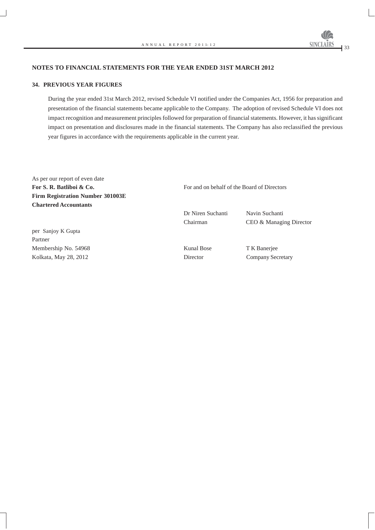## **34. PREVIOUS YEAR FIGURES**

During the year ended 31st March 2012, revised Schedule VI notified under the Companies Act, 1956 for preparation and presentation of the financial statements became applicable to the Company. The adoption of revised Schedule VI does not impact recognition and measurement principles followed for preparation of financial statements. However, it has significant impact on presentation and disclosures made in the financial statements. The Company has also reclassified the previous year figures in accordance with the requirements applicable in the current year.

As per our report of even date **For S. R. Batliboi & Co.** For and on behalf of the Board of Directors **Firm Registration Number 301003E Chartered Accountants**

Dr Niren Suchanti Navin Suchanti Chairman CEO & Managing Director

per Sanjoy K Gupta Partner Membership No. 54968 Kunal Bose T K Banerjee Kolkata, May 28, 2012 Director Company Secretary

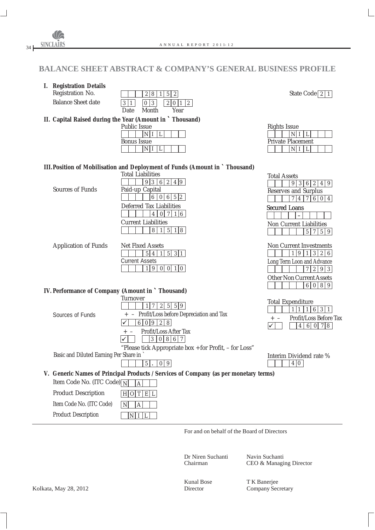## **BALANCE SHEET ABSTRACT & COMPANY'S GENERAL BUSINESS PROFILE**

**I. Registration Details** Registration No. Balance Sheet date

Sources of Funds

Application of Funds

Sources of Funds

|      | 8     |  |     |  |
|------|-------|--|-----|--|
|      |       |  |     |  |
| Date | Month |  | ear |  |

**II. Capital Raised during the Year (Amount in** ` **Thousand)**

| Public Issue | Rights Issue      |
|--------------|-------------------|
|              |                   |
| Bonus Issue  | Private Placement |
|              |                   |

| State Code 2 1 |  |  |
|----------------|--|--|
|                |  |  |

| Rights Issue |                   |  |                |  |  |  |  |  |  |  |  |
|--------------|-------------------|--|----------------|--|--|--|--|--|--|--|--|
|              |                   |  | N <sup>1</sup> |  |  |  |  |  |  |  |  |
|              | Private Placement |  |                |  |  |  |  |  |  |  |  |
|              |                   |  | N              |  |  |  |  |  |  |  |  |

**III.Position of Mobilisation and Deployment of Funds (Amount in** ` **Thousand)**

|                          |                     | Total Liabilities |  |  |                 |    |  |           |  |  |  |
|--------------------------|---------------------|-------------------|--|--|-----------------|----|--|-----------|--|--|--|
|                          |                     |                   |  |  | 9 3 6 2 4 9     |    |  |           |  |  |  |
|                          | Paid-up Capital     |                   |  |  |                 |    |  |           |  |  |  |
|                          |                     |                   |  |  |                 |    |  | 6 0 6 5 2 |  |  |  |
| Deferred Tax Liabilities |                     |                   |  |  |                 |    |  |           |  |  |  |
|                          |                     |                   |  |  | 4  0 7 1        |    |  |           |  |  |  |
|                          | Current Liabilities |                   |  |  |                 |    |  |           |  |  |  |
|                          |                     |                   |  |  | $8 \mid 1 \mid$ | .5 |  |           |  |  |  |
|                          |                     |                   |  |  |                 |    |  |           |  |  |  |

| Net Fixed Assets      |  |  |     |                 |  |  |  |  |  |  |
|-----------------------|--|--|-----|-----------------|--|--|--|--|--|--|
|                       |  |  | 5 4 | $1 \mid 5 \mid$ |  |  |  |  |  |  |
| <b>Current Assets</b> |  |  |     |                 |  |  |  |  |  |  |
|                       |  |  |     | $\bigcap$       |  |  |  |  |  |  |

| <b>Total Assets</b>     |  |  |  |  |                                                  |  |   |        |  |  |  |
|-------------------------|--|--|--|--|--------------------------------------------------|--|---|--------|--|--|--|
|                         |  |  |  |  |                                                  |  |   |        |  |  |  |
| Reserves and Surplus    |  |  |  |  |                                                  |  |   |        |  |  |  |
|                         |  |  |  |  |                                                  |  |   | 747604 |  |  |  |
| Secured Loans           |  |  |  |  |                                                  |  |   |        |  |  |  |
|                         |  |  |  |  |                                                  |  |   |        |  |  |  |
| Non Current Liabilities |  |  |  |  |                                                  |  |   |        |  |  |  |
|                         |  |  |  |  | $\begin{array}{c c c c c} \hline \end{array}$ 57 |  | 5 |        |  |  |  |
|                         |  |  |  |  |                                                  |  |   |        |  |  |  |

| Non Current Investments    |  |  |        |  |  |         |  |  |  |  |  |
|----------------------------|--|--|--------|--|--|---------|--|--|--|--|--|
|                            |  |  | 191326 |  |  |         |  |  |  |  |  |
| Long Term Loon and Advance |  |  |        |  |  |         |  |  |  |  |  |
|                            |  |  |        |  |  | 7293    |  |  |  |  |  |
| Other Non Current Assets   |  |  |        |  |  |         |  |  |  |  |  |
|                            |  |  |        |  |  | 6 0 8 9 |  |  |  |  |  |

| Turnover                                    | <b>Total Expenditure</b>   |
|---------------------------------------------|----------------------------|
|                                             |                            |
|                                             |                            |
| + - Profit/Loss before Depreciation and Tax | + - Profit/Loss Before Tax |
| $\checkmark$ 60928                          | 4   6   0   7   8          |
| .                                           |                            |

| Interim Dividend rate %                                   |
|-----------------------------------------------------------|
|                                                           |
| al Products / Services of Company (as per monetary terms) |
|                                                           |
|                                                           |

**V. Generic Names of Principal Production** 

| Item Code No. (ITC Code) $\boxed{N}$ |        |  |       |  |
|--------------------------------------|--------|--|-------|--|
| <b>Product Description</b>           | HIQITI |  | FII I |  |
| Item Code No. (ITC Code)             |        |  |       |  |
| Product Description                  |        |  |       |  |
|                                      |        |  |       |  |

Basic and Diluted Earning Per Share in `

**IV. Performance of Company (Amount in** ` **Thousand)**

Turnover

For and on behalf of the Board of Directors

Dr Niren Suchanti Navin Suchanti<br>Chairman CEO & Managi

CEO & Managing Director

Kunal Bose T K Banerjee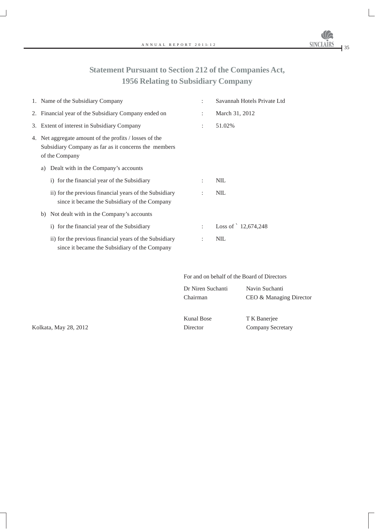A N N U A L R E P O R T 2 0 1 1-1 2 SINCLAIRS 35

## **Statement Pursuant to Section 212 of the Companies Act, 1956 Relating to Subsidiary Company**

| 1. Name of the Subsidiary Company                                                                                                | $\ddot{\phantom{a}}$ | Savannah Hotels Private Ltd |
|----------------------------------------------------------------------------------------------------------------------------------|----------------------|-----------------------------|
| 2. Financial year of the Subsidiary Company ended on                                                                             | ÷                    | March 31, 2012              |
| 3. Extent of interest in Subsidiary Company                                                                                      | $\ddot{\phantom{a}}$ | 51.02%                      |
| 4. Net aggregate amount of the profits / losses of the<br>Subsidiary Company as far as it concerns the members<br>of the Company |                      |                             |
| Dealt with in the Company's accounts<br>a)                                                                                       |                      |                             |
| i) for the financial year of the Subsidiary                                                                                      | $\ddot{\phantom{a}}$ | <b>NIL</b>                  |
| ii) for the previous financial years of the Subsidiary<br>since it became the Subsidiary of the Company                          | ÷                    | <b>NIL</b>                  |
| b) Not dealt with in the Company's accounts                                                                                      |                      |                             |
| i) for the financial year of the Subsidiary                                                                                      | ÷                    | Loss of ` 12,674,248        |
| ii) for the previous financial years of the Subsidiary<br>since it became the Subsidiary of the Company                          | ÷                    | <b>NIL</b>                  |

For and on behalf of the Board of Directors

| Dr Niren Suchanti | Navin Suchanti          |
|-------------------|-------------------------|
| Chairman          | CEO & Managing Director |

Kolkata, May 28, 2012 Director Company Secretary

 $\overline{\phantom{0}}$ 

Kunal Bose T K Banerjee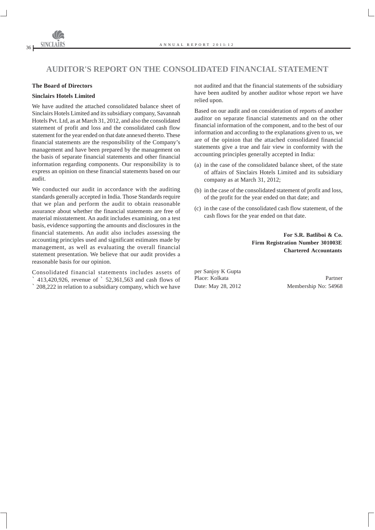

## **AUDITOR'S REPORT ON THE CONSOLIDATED FINANCIAL STATEMENT**

## **The Board of Directors**

## **Sinclairs Hotels Limited**

We have audited the attached consolidated balance sheet of Sinclairs Hotels Limited and its subsidiary company, Savannah Hotels Pvt. Ltd, as at March 31, 2012, and also the consolidated statement of profit and loss and the consolidated cash flow statement for the year ended on that date annexed thereto. These financial statements are the responsibility of the Company's management and have been prepared by the management on the basis of separate financial statements and other financial information regarding components. Our responsibility is to express an opinion on these financial statements based on our audit.

We conducted our audit in accordance with the auditing standards generally accepted in India. Those Standards require that we plan and perform the audit to obtain reasonable assurance about whether the financial statements are free of material misstatement. An audit includes examining, on a test basis, evidence supporting the amounts and disclosures in the financial statements. An audit also includes assessing the accounting principles used and significant estimates made by management, as well as evaluating the overall financial statement presentation. We believe that our audit provides a reasonable basis for our opinion.

Consolidated financial statements includes assets of ` 413,420,926, revenue of ` 52,361,563 and cash flows of ` 208,222 in relation to a subsidiary company, which we have

not audited and that the financial statements of the subsidiary have been audited by another auditor whose report we have relied upon.

Based on our audit and on consideration of reports of another auditor on separate financial statements and on the other financial information of the component, and to the best of our information and according to the explanations given to us, we are of the opinion that the attached consolidated financial statements give a true and fair view in conformity with the accounting principles generally accepted in India:

- (a) in the case of the consolidated balance sheet, of the state of affairs of Sinclairs Hotels Limited and its subsidiary company as at March 31, 2012;
- (b) in the case of the consolidated statement of profit and loss, of the profit for the year ended on that date; and
- (c) in the case of the consolidated cash flow statement, of the cash flows for the year ended on that date.

**For S.R. Batliboi & Co. Firm Registration Number 301003E Chartered Accountants**

per Sanjoy K Gupta

Place: Kolkata Partner Date: May 28, 2012 Membership No: 54968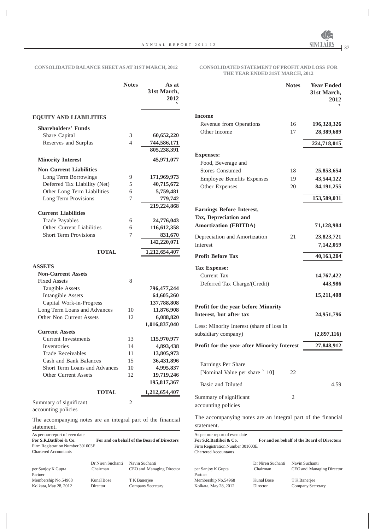## **CONSOLIDATED BALANCE SHEET AS AT 31ST MARCH, 2012**

 $\overline{\phantom{0}}$ 

**CONSOLIDATED STATEMENT OF PROFIT AND LOSS FOR THE YEAR ENDED 31ST MARCH, 2012**

|                                               |                          | 31st March,<br>2012     |
|-----------------------------------------------|--------------------------|-------------------------|
| <b>EQUITY AND LIABILITIES</b>                 |                          |                         |
| <b>Shareholders' Funds</b>                    |                          |                         |
| Share Capital                                 | 3                        | 60,652,220              |
| Reserves and Surplus                          | $\overline{\mathcal{A}}$ | 744,586,171             |
|                                               |                          | 805,238,391             |
| <b>Minority Interest</b>                      |                          | 45,971,077              |
| <b>Non Current Liabilities</b>                |                          |                         |
| Long Term Borrowings                          | 9                        | 171,969,973             |
| Deferred Tax Liability (Net)                  | 5                        | 40,715,672              |
| Other Long Term Liabilities                   | 6                        | 5,759,481               |
| Long Term Provisions                          | 7                        | 779,742                 |
|                                               |                          | 219,224,868             |
| <b>Current Liabilities</b>                    |                          |                         |
| <b>Trade Payables</b>                         | 6                        | 24,776,043              |
| Other Current Liabilities                     | 6                        | 116,612,358             |
| <b>Short Term Provisions</b>                  | 7                        | 831,670                 |
|                                               |                          | 142,220,071             |
| <b>TOTAL</b>                                  |                          | 1,212,654,407           |
| <b>ASSETS</b>                                 |                          |                         |
| <b>Non-Current Assets</b>                     |                          |                         |
| <b>Fixed Assets</b>                           | 8                        |                         |
| Tangible Assets                               |                          | 796,477,244             |
| <b>Intangible Assets</b>                      |                          | 64,605,260              |
| Capital Work-in-Progress                      |                          | 137,788,808             |
| Long Term Loans and Advances                  | 10                       | 11,876,908              |
| Other Non Current Assets                      | 12                       | 6,088,820               |
|                                               |                          | 1,016,837,040           |
| <b>Current Assets</b>                         |                          |                         |
| <b>Current Investments</b>                    | 13                       | 115,970,977             |
| Inventories<br><b>Trade Receivables</b>       | 14<br>11                 | 4,893,438<br>13,805,973 |
| Cash and Bank Balances                        | 15                       | 36,431,896              |
| Short Term Loans and Advances                 | 10                       | 4,995,837               |
| <b>Other Current Assets</b>                   | 12                       | 19,719,246              |
|                                               |                          | 195,817,367             |
| <b>TOTAL</b>                                  |                          | 1,212,654,407           |
|                                               |                          |                         |
| Summary of significant<br>accounting policies | 2                        |                         |

The accompanying notes are an integral part of the financial statement.

As per our report of even date<br>For S.R.Batliboi & Co. For and on behalf of the Board of Directors Firm Registration Number 301003E Chartered Accountants

|                       | Dr Niren Suchanti | Navin Suchanti            |
|-----------------------|-------------------|---------------------------|
| per Sanjoy K Gupta    | Chairman          | CEO and Managing Director |
| Partner               |                   |                           |
| Membership No.54968   | Kunal Bose        | T K Banerjee              |
| Kolkata, May 28, 2012 | Director          | <b>Company Secretary</b>  |
|                       |                   |                           |

|                                                                  | <b>Notes</b> | <b>Year Ended</b><br>31st March,<br>2012 |
|------------------------------------------------------------------|--------------|------------------------------------------|
| <b>Income</b>                                                    |              |                                          |
| Revenue from Operations                                          | 16           | 196,328,326                              |
| Other Income                                                     | 17           | 28,389,689                               |
|                                                                  |              | 224,718,015                              |
| <b>Expenses:</b>                                                 |              |                                          |
| Food, Beverage and                                               |              |                                          |
| <b>Stores Consumed</b>                                           | 18           | 25,853,654                               |
| <b>Employee Benefits Expenses</b>                                | 19           | 43,544,122                               |
| Other Expenses                                                   | 20           | 84, 191, 255                             |
|                                                                  |              | 153,589,031                              |
| <b>Earnings Before Interest,</b><br>Tax, Depreciation and        |              |                                          |
| <b>Amortization (EBITDA)</b>                                     |              | 71,128,984                               |
| Depreciation and Amortization                                    | 21           | 23,823,721                               |
| Interest                                                         |              | 7,142,059                                |
| <b>Profit Before Tax</b>                                         |              | 40,163,204                               |
| <b>Tax Expense:</b>                                              |              |                                          |
| Current Tax                                                      |              | 14,767,422                               |
| Deferred Tax Charge/(Credit)                                     |              | 443,986                                  |
|                                                                  |              | 15,211,408                               |
| Profit for the year before Minority<br>Interest, but after tax   |              | 24,951,796                               |
| Less: Minority Interest (share of loss in<br>subsidiary company) |              | (2,897,116)                              |
| Profit for the year after Minority Interest                      |              | 27,848,912                               |
| Earnings Per Share<br>[Nominal Value per share ` 10]             | 22           |                                          |
| <b>Basic and Diluted</b>                                         |              | 4.59                                     |
| Summary of significant<br>accounting policies                    | 2            |                                          |
| The accompanying notes are an integral part of the financial     |              |                                          |

statement. As per our report of even date<br>For S.R.Batliboi & Co. For and on behalf of the Board of Directors

Firm Registration Number 301003E Chartered Accountants

| Dr Niren Suchanti | Navin Suchanti            |
|-------------------|---------------------------|
| Chairman          | CEO and Managing Director |
|                   |                           |
| Kunal Bose        | T K Banerjee              |
| Director          | Company Secretary         |
|                   |                           |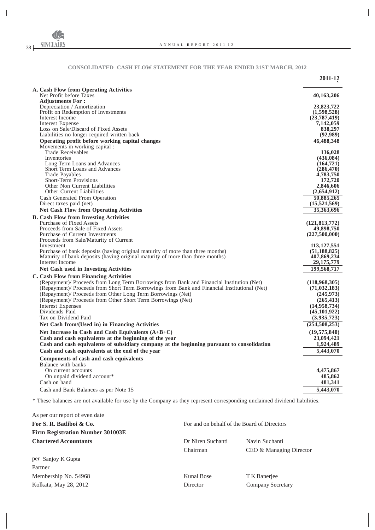

 $\overline{\phantom{0}}$ 

## **CONSOLIDATED CASH FLOW STATEMENT FOR THE YEAR ENDED 31ST MARCH, 2012**

|                                                                                              | 2011-12                 |
|----------------------------------------------------------------------------------------------|-------------------------|
| A. Cash Flow from Operating Activities                                                       |                         |
| Net Profit before Taxes                                                                      | 40,163,206              |
| <b>Adjustments For:</b>                                                                      |                         |
| Depreciation / Amortization                                                                  | 23,823,722              |
| Profit on Redemption of Investments                                                          | (1,598,528)             |
| Interest Income                                                                              | (23, 787, 419)          |
| <b>Interest Expense</b>                                                                      | 7,142,059               |
| Loss on Sale/Discard of Fixed Assets                                                         | 838,297                 |
| Liabilities no longer required written back                                                  | (92,989)                |
| Operating profit before working capital changes                                              | 46,488,348              |
| Movements in working capital :                                                               |                         |
| Trade Receivables                                                                            | 136,028                 |
| Inventories                                                                                  | (436, 084)              |
| Long Term Loans and Advances                                                                 | (164, 721)              |
| Short Term Loans and Advances<br><b>Trade Payables</b>                                       | (286, 470)<br>4,783,750 |
| <b>Short-Term Provisions</b>                                                                 | 172,720                 |
| Other Non Current Liabilities                                                                | 2,846,606               |
| Other Current Liabilities                                                                    | (2,654,912)             |
| Cash Generated From Operation                                                                | 50,885,265              |
| Direct taxes paid (net)                                                                      | (15,521,569)            |
|                                                                                              |                         |
| <b>Net Cash Flow from Operating Activities</b>                                               | 35,363,696              |
| <b>B. Cash Flow from Investing Activities</b>                                                |                         |
| Purchase of Fixed Assets                                                                     | (121, 813, 772)         |
| Proceeds from Sale of Fixed Assets                                                           | 49,898,750              |
| Purchase of Current Investments                                                              | (227,500,000)           |
| Proceeds from Sale/Maturity of Current                                                       |                         |
| Investment                                                                                   | 113, 127, 551           |
| Purchase of bank deposits (having original maturity of more than three months)               | (51, 188, 825)          |
| Maturity of bank deposits (having original maturity of more than three months)               | 407,869,234             |
| Interest Income                                                                              | 29, 175, 779            |
| <b>Net Cash used in Investing Activities</b>                                                 | 199,568,717             |
| C. Cash Flow from Financing Activities                                                       |                         |
| (Repayment)/ Proceeds from Long Term Borrowings from Bank and Financial Institution (Net)    | (118,968,305)           |
| (Repayment)/ Proceeds from Short Term Borrowings from Bank and Financial Institutional (Net) | (71, 032, 183)          |
| (Repayment)/ Proceeds from Other Long Term Borrowings (Net)                                  | (245, 973)              |
| (Repayment)/ Proceeds from Other Short Term Borrowings (Net)                                 | (265, 413)              |
| Interest Expenses                                                                            | (14,958,734)            |
| Dividends Paid                                                                               | (45, 101, 922)          |
| Tax on Dividend Paid                                                                         | (3,935,723)             |
| Net Cash from/(Used in) in Financing Activities                                              | (254, 508, 253)         |
| Net Increase in Cash and Cash Equivalents $(A+B+C)$                                          | (19,575,840)            |
| Cash and cash equivalents at the beginning of the year                                       | 23,094,421              |
| Cash and cash equivalents of subsidiary company at the beginning pursuant to consolidation   | 1,924,489               |
|                                                                                              |                         |
| Cash and cash equivalents at the end of the year                                             | 5,443,070               |
| Components of cash and cash equivalents                                                      |                         |
| Balance with banks                                                                           |                         |
| On current accounts                                                                          | 4,475,867               |
| On unpaid dividend account*                                                                  | 485,862                 |
| Cash on hand                                                                                 | 481,341                 |
| Cash and Bank Balances as per Note 15                                                        | 5,443,070               |
| 1.11.1<br>$\cdots$                                                                           |                         |

\* These balances are not available for use by the Company as they represent corresponding unclaimed dividend liabilities.

## As per our report of even date

| For S. R. Batliboi & Co.                | For and on behalf of the Board of Directors |                          |
|-----------------------------------------|---------------------------------------------|--------------------------|
| <b>Firm Registration Number 301003E</b> |                                             |                          |
| <b>Chartered Accountants</b>            | Dr Niren Suchanti                           | Navin Suchanti           |
|                                         | Chairman                                    | CEO & Managing Director  |
| per Sanjoy K Gupta                      |                                             |                          |
| Partner                                 |                                             |                          |
| Membership No. 54968                    | Kunal Bose                                  | T K Banerjee             |
| Kolkata, May 28, 2012                   | Director                                    | <b>Company Secretary</b> |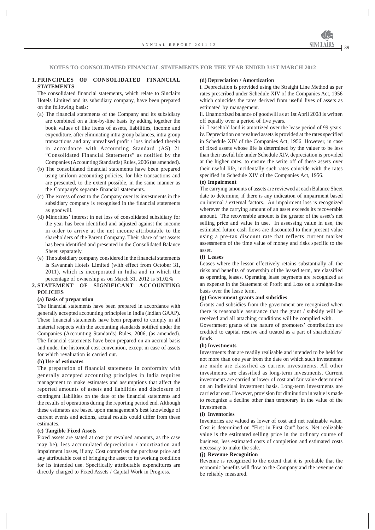#### **1. PRINCIPLES OF CONSOLIDATED FINANCIAL STATEMENTS**

The consolidated financial statements, which relate to Sinclairs Hotels Limited and its subsidiary company, have been prepared on the following basis:

- (a) The financial statements of the Company and its subsidiary are combined on a line-by-line basis by adding together the book values of like items of assets, liabilities, income and expenditure, after eliminating intra group balances, intra group transactions and any unrealised profit / loss included therein in accordance with Accounting Standard (AS) 21 "Consolidated Financial Statements" as notified by the Companies (Accounting Standards) Rules, 2006 (as amended).
- (b) The consolidated financial statements have been prepared using uniform accounting policies, for like transactions and are presented, to the extent possible, in the same manner as the Company's separate financial statements.
- (c) The excess of cost to the Company over its investments in the subsidiary company is recognised in the financial statements as goodwill.
- (d) Minorities' interest in net loss of consolidated subsidiary for the year has been identified and adjusted against the income in order to arrive at the net income attributable to the shareholders of the Parent Company. Their share of net assets has been identified and presented in the Consolidated Balance Sheet separately.
- (e) The subsidiary company considered in the financial statements is Savannah Hotels Limited (with effect from October 31, 2011), which is incorporated in India and in which the percentage of ownership as on March 31, 2012 is 51.02%

## **2. STATEMENT OF SIGNIFICANT ACCOUNTING POLICIES**

#### **(a) Basis of preparation**

The financial statements have been prepared in accordance with generally accepted accounting principles in India (Indian GAAP). These financial statements have been prepared to comply in all material respects with the accounting standards notified under the Companies (Accounting Standards) Rules, 2006, (as amended). The financial statements have been prepared on an accrual basis and under the historical cost convention, except in case of assets for which revaluation is carried out.

#### **(b) Use of estimates**

The preparation of financial statements in conformity with generally accepted accounting principles in India requires management to make estimates and assumptions that affect the reported amounts of assets and liabilities and disclosure of contingent liabilities on the date of the financial statements and the results of operations during the reporting period end. Although these estimates are based upon management's best knowledge of current events and actions, actual results could differ from these estimates.

#### **(c) Tangible Fixed Assets**

Fixed assets are stated at cost (or revalued amounts, as the case may be), less accumulated depreciation / amortization and impairment losses, if any. Cost comprises the purchase price and any attributable cost of bringing the asset to its working condition for its intended use. Specifically attributable expenditures are directly charged to Fixed Assets / Capital Work in Progress.

#### **(d) Depreciation / Amortization**

i. Depreciation is provided using the Straight Line Method as per rates prescribed under Schedule XIV of the Companies Act, 1956 which coincides the rates derived from useful lives of assets as estimated by management.

ii. Unamortized balance of goodwill as at 1st April 2008 is written off equally over a period of five years.

iii. Leasehold land is amortized over the lease period of 99 years. iv. Depreciation on revalued assets is provided at the rates specified in Schedule XIV of the Companies Act, 1956. However, in case of fixed assets whose life is determined by the valuer to be less than their useful life under Schedule XIV, depreciation is provided at the higher rates, to ensure the write off of these assets over their useful life, incidentally such rates coincide with the rates specified in Schedule XIV of the Companies Act, 1956.

## **(e) Impairment**

The carrying amounts of assets are reviewed at each Balance Sheet date to determine, if there is any indication of impairment based on internal / external factors. An impairment loss is recognized wherever the carrying amount of an asset exceeds its recoverable amount. The recoverable amount is the greater of the asset's net selling price and value in use. In assessing value in use, the estimated future cash flows are discounted to their present value using a pre-tax discount rate that reflects current market assessments of the time value of money and risks specific to the asset.

#### **(f) Leases**

Leases where the lessor effectively retains substantially all the risks and benefits of ownership of the leased term, are classified as operating leases. Operating lease payments are recognized as an expense in the Statement of Profit and Loss on a straight-line basis over the lease term.

#### **(g) Government grants and subsidies**

Grants and subsidies from the government are recognized when there is reasonable assurance that the grant / subsidy will be received and all attaching conditions will be complied with.

Government grants of the nature of promoters' contribution are credited to capital reserve and treated as a part of shareholders' funds.

#### **(h) Investments**

Investments that are readily realisable and intended to be held for not more than one year from the date on which such investments are made are classified as current investments. All other investments are classified as long-term investments. Current investments are carried at lower of cost and fair value determined on an individual investment basis. Long-term investments are carried at cost. However, provision for diminution in value is made to recognize a decline other than temporary in the value of the investments.

#### **(i) Inventories**

Inventories are valued as lower of cost and net realizable value. Cost is determined on "First in First Out" basis. Net realizable value is the estimated selling price in the ordinary course of business, less estimated costs of completion and estimated costs necessary to make the sale.

#### **(j) Revenue Recognition**

Revenue is recognized to the extent that it is probable that the economic benefits will flow to the Company and the revenue can be reliably measured.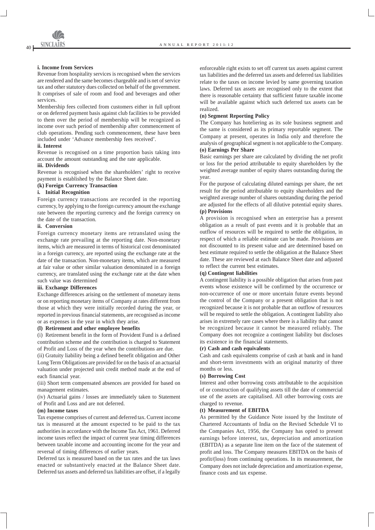#### **i. Income from Services**

Revenue from hospitality services is recognised when the services are rendered and the same becomes chargeable and is net of service tax and other statutory dues collected on behalf of the government. It comprises of sale of room and food and beverages and other services.

Membership fees collected from customers either in full upfront or on deferred payment basis against club facilities to be provided to them over the period of membership will be recognized as income over such period of membership after commencement of club operations. Pending such commencement, these have been included under 'Advance membership fees received'.

#### **ii. Interest**

Revenue is recognised on a time proportion basis taking into account the amount outstanding and the rate applicable.

#### **iii. Dividends**

Revenue is recognised when the shareholders' right to receive payment is established by the Balance Sheet date.

#### **(k) Foreign Currency Transaction**

#### **i. Initial Recognition**

Foreign currency transactions are recorded in the reporting currency, by applying to the foreign currency amount the exchange rate between the reporting currency and the foreign currency on the date of the transaction.

#### **ii. Conversion**

Foreign currency monetary items are retranslated using the exchange rate prevailing at the reporting date. Non-monetary items, which are measured in terms of historical cost denominated in a foreign currency, are reported using the exchange rate at the date of the transaction. Non-monetary items, which are measured at fair value or other similar valuation denominated in a foreign currency, are translated using the exchange rate at the date when such value was determined

#### **iii. Exchange Differences**

Exchange differences arising on the settlement of monetary items or on reporting monetary items of Company at rates different from those at which they were initially recorded during the year, or reported in previous financial statements, are recognised as income or as expenses in the year in which they arise.

#### **(l) Retirement and other employee benefits**

(i) Retirement benefit in the form of Provident Fund is a defined contribution scheme and the contribution is charged to Statement of Profit and Loss of the year when the contributions are due.

(ii) Gratuity liability being a defined benefit obligation and Other Long Term Obligations are provided for on the basis of an actuarial valuation under projected unit credit method made at the end of each financial year.

(iii) Short term compensated absences are provided for based on management estimates.

(iv) Actuarial gains / losses are immediately taken to Statement of Profit and Loss and are not deferred.

#### **(m) Income taxes**

Tax expense comprises of current and deferred tax. Current income tax is measured at the amount expected to be paid to the tax authorities in accordance with the Income Tax Act, 1961. Deferred income taxes reflect the impact of current year timing differences between taxable income and accounting income for the year and reversal of timing differences of earlier years.

Deferred tax is measured based on the tax rates and the tax laws enacted or substantively enacted at the Balance Sheet date. Deferred tax assets and deferred tax liabilities are offset, if a legally enforceable right exists to set off current tax assets against current tax liabilities and the deferred tax assets and deferred tax liabilities relate to the taxes on income levied by same governing taxation laws. Deferred tax assets are recognised only to the extent that there is reasonable certainty that sufficient future taxable income will be available against which such deferred tax assets can be realized.

#### **(n) Segment Reporting Policy**

The Company has hoteliering as its sole business segment and the same is considered as its primary reportable segment. The Company at present, operates in India only and therefore the analysis of geographical segment is not applicable to the Company. **(o) Earnings Per Share**

Basic earnings per share are calculated by dividing the net profit or loss for the period attributable to equity shareholders by the weighted average number of equity shares outstanding during the year.

For the purpose of calculating diluted earnings per share, the net result for the period attributable to equity shareholders and the weighted average number of shares outstanding during the period are adjusted for the effects of all dilutive potential equity shares. **(p) Provisions**

A provision is recognised when an enterprise has a present obligation as a result of past events and it is probable that an outflow of resources will be required to settle the obligation, in respect of which a reliable estimate can be made. Provisions are not discounted to its present value and are determined based on best estimate required to settle the obligation at the Balance Sheet date. These are reviewed at each Balance Sheet date and adjusted to reflect the current best estimates.

#### **(q) Contingent liabilities**

A contingent liability is a possible obligation that arises from past events whose existence will be confirmed by the occurrence or non-occurrence of one or more uncertain future events beyond the control of the Company or a present obligation that is not recognized because it is not probable that an outflow of resources will be required to settle the obligation. A contingent liability also arises in extremely rare cases where there is a liability that cannot be recognized because it cannot be measured reliably. The Company does not recognize a contingent liability but discloses its existence in the financial statements.

#### **(r) Cash and cash equivalents**

Cash and cash equivalents comprise of cash at bank and in hand and short-term investments with an original maturity of three months or less.

#### **(s) Borrowing Cost**

Interest and other borrowing costs attributable to the acquisition of or construction of qualifying assets till the date of commercial use of the assets are capitalised. All other borrowing costs are charged to revenue.

#### **(t) Measurement of EBITDA**

As permitted by the Guidance Note issued by the Institute of Chartered Accountants of India on the Revised Schedule VI to the Companies Act, 1956, the Company has opted to present earnings before interest, tax, depreciation and amortization (EBITDA) as a separate line item on the face of the statement of profit and loss. The Company measures EBITDA on the basis of profit/(loss) from continuing operations. In its measurement, the Company does not include depreciation and amortization expense, finance costs and tax expense.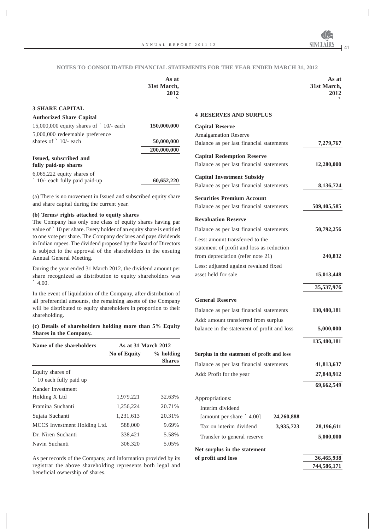**As at**

**As at**

## **NOTES TO CONSOLIDATED FINANCIAL STATEMENTS FOR THE YEAR ENDED MARCH 31, 2012**

|                                                 | 31st March,<br>2012 |
|-------------------------------------------------|---------------------|
| <b>3 SHARE CAPITAL</b>                          |                     |
| <b>Authorized Share Capital</b>                 |                     |
| 15,000,000 equity shares of $\degree$ 10/- each | 150,000,000         |
| 5,000,000 redeemable preference                 |                     |
| shares of $\degree$ 10/- each                   | 50,000,000          |
|                                                 | 200,000,000         |
| Issued, subscribed and                          |                     |
| fully paid-up shares                            |                     |
| $6,065,222$ equity shares of                    |                     |
| ` 10/- each fully paid paid-up                  | 60,652,220          |

(a) There is no movement in Issued and subscribed equity share and share capital during the current year.

#### **(b) Terms/ rights attached to equity shares**

The Company has only one class of equity shares having par value of ` 10 per share. Every holder of an equity share is entitled to one vote per share. The Company declares and pays dividends in Indian rupees. The dividend proposed by the Board of Directors is subject to the approval of the shareholders in the ensuing Annual General Meeting.

During the year ended 31 March 2012, the dividend amount per share recognized as distribution to equity shareholders was ` 4.00.

In the event of liquidation of the Company, after distribution of all preferential amounts, the remaining assets of the Company will be distributed to equity shareholders in proportion to their shareholding.

#### **(c) Details of shareholders holding more than 5% Equity Shares in the Company.**

| Name of the shareholders                            | As at 31 March 2012    |               |  |
|-----------------------------------------------------|------------------------|---------------|--|
|                                                     | No of Equity % holding | <b>Shares</b> |  |
| Equity shares of<br>$\degree$ 10 each fully paid up |                        |               |  |
| Xander Investment                                   |                        |               |  |
| Holding X Ltd                                       | 1,979,221              | 32.63%        |  |
| Pramina Suchanti                                    | 1,256,224              | 20.71%        |  |
| Sujata Suchanti                                     | 1,231,613              | 20.31%        |  |
| MCCS Investment Holding Ltd.                        | 588,000                | 9.69%         |  |
| Dr. Niren Suchanti                                  | 338,421                | 5.58%         |  |
| Navin Suchanti                                      | 306,320                | 5.05%         |  |

As per records of the Company, and information provided by its registrar the above shareholding represents both legal and beneficial ownership of shares.

| 31st March, |
|-------------|
| 2012        |
|             |
|             |

#### **4 RESERVES AND SURPLUS**

| <b>Capital Reserve</b>                      |            |             |
|---------------------------------------------|------------|-------------|
| <b>Amalgamation Reserve</b>                 |            |             |
| Balance as per last financial statements    |            | 7,279,767   |
| <b>Capital Redemption Reserve</b>           |            |             |
| Balance as per last financial statements    |            | 12,280,000  |
| <b>Capital Investment Subsidy</b>           |            |             |
| Balance as per last financial statements    |            | 8,136,724   |
| <b>Securities Premium Account</b>           |            |             |
| Balance as per last financial statements    |            | 509,405,585 |
| <b>Revaluation Reserve</b>                  |            |             |
| Balance as per last financial statements    |            | 50,792,256  |
| Less: amount transferred to the             |            |             |
| statement of profit and loss as reduction   |            |             |
| from depreciation (refer note 21)           |            | 240,832     |
| Less: adjusted against revalued fixed       |            |             |
| asset held for sale                         |            | 15,013,448  |
|                                             |            | 35,537,976  |
| <b>General Reserve</b>                      |            |             |
| Balance as per last financial statements    |            | 130,480,181 |
| Add: amount transferred from surplus        |            |             |
| balance in the statement of profit and loss |            | 5,000,000   |
|                                             |            | 135,480,181 |
| Surplus in the statement of profit and loss |            |             |
| Balance as per last financial statements    |            | 41,813,637  |
| Add: Profit for the year                    |            | 27,848,912  |
|                                             |            | 69,662,549  |
| Appropriations:                             |            |             |
| Interim dividend                            |            |             |
| [amount per share ` 4.00]                   | 24,260,888 |             |
| Tax on interim dividend                     | 3,935,723  | 28,196,611  |
| Transfer to general reserve                 |            | 5,000,000   |
| Net surplus in the statement                |            |             |
| of profit and loss                          |            | 36,465,938  |
|                                             |            | 744,586,171 |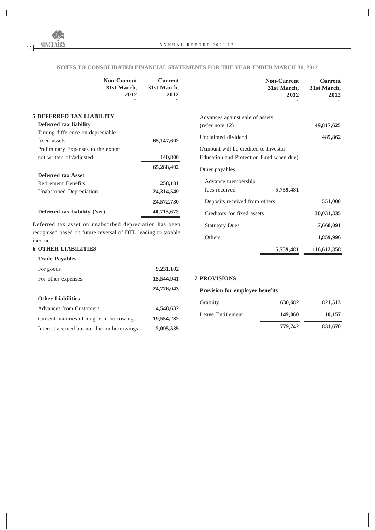

|                                    | <b>Non-Current</b><br>31st March,<br>2012 | <b>Current</b><br>31st March,<br>2012 |
|------------------------------------|-------------------------------------------|---------------------------------------|
| 5 DEFERRED TAX LIABILITY           |                                           |                                       |
| Deferred tax liability             |                                           |                                       |
| Timing difference on depreciable.  |                                           |                                       |
| fixed assets                       |                                           | 65,147,602                            |
| Preliminary Expenses to the extent |                                           |                                       |
| not written off/adjusted           |                                           | 140,800                               |
|                                    |                                           | 65,288,402                            |
| <b>Deferred tax Asset</b>          |                                           |                                       |
| Retirement Benefits                |                                           | 258,181                               |
| Unabsorbed Depreciation            |                                           | 24,314,549                            |
|                                    |                                           | 24,572,730                            |
| Deferred tax liability (Net)       |                                           | 40,715,672                            |
|                                    |                                           |                                       |

Deferred tax asset on unabsorbed depreciation has been recognised based on future reversal of DTL leading to taxable income.

## **6 OTHER LIABILITIES**

| For goods                                  | 9,231,102  |
|--------------------------------------------|------------|
| For other expenses                         | 15,544,941 |
|                                            | 24,776,043 |
| <b>Other Liabilities</b>                   |            |
| Advances from Customers                    | 4,548,632  |
| Current maturies of long term borrowings   | 19,554,282 |
| Interest accrued but not due on borrowings | 2,095,535  |

|                                                                                 | <b>Non-Current</b><br>31st March,<br>2012 | <b>Current</b><br>31st March,<br>2012 |
|---------------------------------------------------------------------------------|-------------------------------------------|---------------------------------------|
| Advances against sale of assets<br>(refer note 12)                              |                                           | 49,817,625                            |
| Unclaimed dividend                                                              |                                           | 485,862                               |
| (Amount will be credited to Investor<br>Education and Protection Fund when due) |                                           |                                       |
| Other payables                                                                  |                                           |                                       |
| Advance membership<br>fees received                                             | 5,759,481                                 |                                       |
| Deposits received from others                                                   |                                           | 551,000                               |
| Creditors for fixed assets                                                      |                                           | 30,031,335                            |
| <b>Statutory Dues</b>                                                           |                                           | 7,668,091                             |
| Others                                                                          |                                           | 1,859,996                             |
|                                                                                 | 5,759,481                                 | 116,612,358                           |

## **7 PROVISIONS**

## **Provision for employee benefits**

| Gratuity          | 630,682 | 821,513 |
|-------------------|---------|---------|
| Leave Entitlement | 149,060 | 10,157  |
|                   | 779,742 | 831,670 |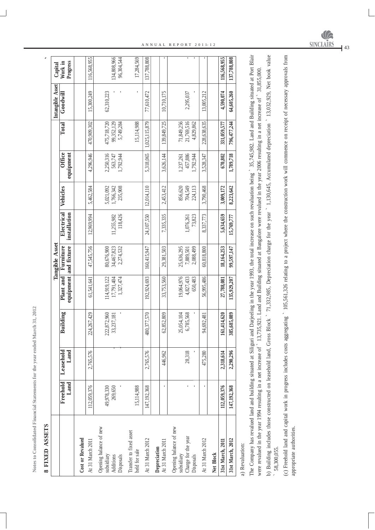Notes to Consolidated Financial Statements for the year ended March 31, 2012 **Notes to Consolidated Financial Statements for the year ended March 31, 2012**

| 1 |  |
|---|--|
|   |  |
| 0 |  |

|                                                                                 |                       |                   |                           |                                       | Tangible Asset                        |                            |                                   |                                   |                                        | Intangible Asset | Capital                  |
|---------------------------------------------------------------------------------|-----------------------|-------------------|---------------------------|---------------------------------------|---------------------------------------|----------------------------|-----------------------------------|-----------------------------------|----------------------------------------|------------------|--------------------------|
|                                                                                 | Freehold<br>Land      | Leasehold<br>Land | Building                  | Plant and<br>equipment                | Furniture<br>and fixture              | Electrical<br>installation | Vehicles                          | <b>Office</b><br>equipment        | Total                                  | Goodwill         | Progress<br>Work in      |
| Cost or Revalued                                                                |                       |                   |                           |                                       |                                       |                            |                                   |                                   |                                        |                  |                          |
| At 31 March 2011                                                                | 112,059,376           | 2,765,576         | 224,267,429               | 61,541,641                            | 47,545,756                            | 12,969,994                 | 5,462,584                         | 4,296,946                         | 470,909,302                            | 15,300,249       | 116,568,955              |
| Opening balance of new<br>subsidiary<br><b>Oisposals</b><br>Additions           | 49,978,330<br>269,650 |                   | 222,872,960<br>33,237,181 | 1,327,474<br>14,919,122<br>17,791,404 | 80,676,900<br>34,467,823<br>2,274,532 | 118,426<br>11,255,982      | 5,021,092<br>235,908<br>1,766,342 | 2,250,316<br>563,747<br>1,792,944 | 475,718,720<br>99,352,129<br>5,749,284 | 62,310,223       | 34,808,966<br>96,304,544 |
| ransfer to fixed asset<br>held for sale                                         | 15,114,988            |                   |                           |                                       |                                       |                            |                                   |                                   | 15,114,988                             |                  | 17,284,569               |
| At 31 March 2012                                                                | 147,192,368           | 2.765,576         | 480,377,570               | 192,924,693                           | 160,415,947                           | 24,107,550                 | 12,014,110                        | 5,318,065                         | 1,025,115,879                          | 77,610,472       | 137,788,808              |
| At 31 March 2011<br>Depreciation                                                |                       | 446,962           | 62,852,809                | 33,753,560                            | 29,381,503                            | 7,335,335                  | 2,453,412                         | 3,626,144                         | 139,849,725                            | 10,710,175       |                          |
| Opening balance of new<br>Charge for the year<br>subsidiary<br><b>Oisposals</b> |                       | 28,318            | 25,054,104<br>6,785,568   | 19,064,976<br>4,827,433<br>650,483    | 25,636,295<br>2,088,499<br>7,889,501  | 73,823<br>1,076,261        | 856,620<br>224,113<br>704,549     | 457,886<br>1,237,261<br>1,792,944 | 71,849,256<br>21,769,516<br>4,829,862  | 2,295,037        |                          |
| At 31 March 2012                                                                |                       | 475,280           | 94,692,48                 | 56,995,486                            | 60,818,800                            | 8,337,773                  | 3,790,468                         | 3,528,347                         | 228,638,635                            | 13,005,212       |                          |
| Net Block                                                                       |                       |                   |                           |                                       |                                       |                            |                                   |                                   |                                        |                  |                          |
| 31st March, 2011                                                                | 112,059,376           | 2,318,614         | 161,414,620               | 27,788,081                            | 18,164,253                            | 5,634,659                  | 3,009,172                         | 670,802                           | 331,059,577                            | 4,590,074        | 116,568,955              |
| 31st March, 2012                                                                | 147,192,368           | 2,290,296         | 385,685,089               | 135,929,207                           | 99,597,147                            | 15,769,777                 | 8,223,642                         | 1,789,718                         | 796,477,244                            | 64,605,260       | 137,788,808              |
|                                                                                 |                       |                   |                           |                                       |                                       |                            |                                   |                                   |                                        |                  |                          |

a) Revaluation: a) Revaluation:

The Company has revalued land and building situated at Siliguri and Darjeeling in the year 1993, the total increase on such revaluation being ` 35,745,982. Land and Building situated at Port Blair b) Building includes those constructed on leasehold land, Gross Block ` 71,332,985, Depreciation charge for the year ` 1,130,645, Accumulated depreciation ` 13,032,929, Net book value The Company has revalued land and building situated at Siliguri and Darjeeling in the year 1993, the total increase on such revaluation being ` 35,745,982. Land and Building situated at Port Blair b) Building includes those constructed on leasehold land, Gross Block ` 71,332,985, Depreciation charge for the year ` 1,130,645, Accumulated depreciation ` 13,032,929, Net book value were revalued in the year 1994 resulting in a net increase of `13,735,921. Land and Building situated at Bangalore were revalued in the year 2006 resulting in a net increase of `31,855,000. were revalued in the year 1994 resulting in a net increase of ` 13,735,921. Land and Building situated at Bangalore were revalued in the year 2006 resulting in a net increase of ` 31,855,000. 58,300,055.  $58,300,055.$ 

(c) Freehold land and capital work in progress includes costs aggregating ` 105,561,326 relating to a project where the construction work will commence on receipt of necessary approvals from (c) Freehold land and capital work in progress includes costs aggregating ` 105,561,326 relating to a project where the construction work will commence on receipt of necessary approvals from appropriate authorities. appropriate authorities.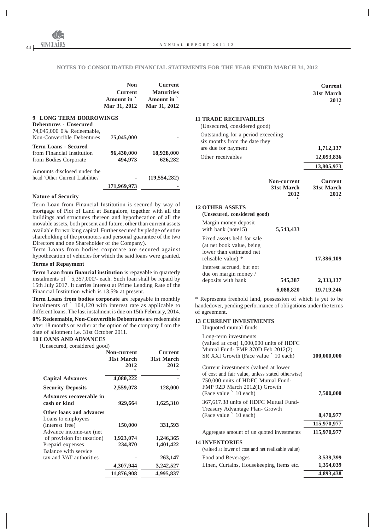

|                                                                                                           | <b>Non</b><br>Current<br>Amount in<br>Mar 31, 2012 | Current<br><b>Maturities</b><br>Amount in<br>Mar 31, 2012 |
|-----------------------------------------------------------------------------------------------------------|----------------------------------------------------|-----------------------------------------------------------|
| <b>LONG TERM BORROWINGS</b><br>9.<br>Debentures - Unsecured<br>74,045,000 0% Redeemable,                  |                                                    |                                                           |
| Non-Convertible Debentures<br>Term Loans - Secured<br>from Financial Institution<br>from Bodies Corporate | 75,045,000<br>96,430,000<br>494,973                | 18,928,000<br>626,282                                     |
| Amounts disclosed under the<br>head 'Other Current Liabilities'                                           |                                                    | (19, 554, 282)                                            |
|                                                                                                           | 171,969,973                                        |                                                           |

#### **Nature of Security**

Term Loan from Financial Institution is secured by way of mortgage of Plot of Land at Bangalore, together with all the buildings and structures thereon and hypothecation of all the movable assets, both present and future, other than current assets available for working capital. Further secured by pledge of entire shareholding of the promoters and personal guarantee of the two Directors and one Shareholder of the Company).

Term Loans from bodies corporate are secured against hypothecation of vehicles for which the said loans were granted.

#### **Terms of Repayment**

**Term Loan from financial institution** is repayable in quarterly instalments of ` 5,357,000/- each. Such loan shall be repaid by 15th July 2017. It carries Interest at Prime Lending Rate of the Financial Institution which is 13.5% at present.

**Term Loans from bodies corporate** are repayable in monthly instalments of ` 104,120 with interest rate as applicable to different loans. The last instalment is due on 15th February, 2014. **0% Redeemable, Non-Convertible Debentures** are redeemable after 18 months or earlier at the option of the company from the date of allotment i.e. 31st October 2011.

### **10 LOANS AND ADVANCES**

(Unsecured, considered good)

|                                         | Non-current | Current    |
|-----------------------------------------|-------------|------------|
|                                         | 31st March  | 31st March |
|                                         | 2012        | 2012       |
| <b>Capital Advances</b>                 | 4,080,222   |            |
| <b>Security Deposits</b>                | 2,559,078   | 128,000    |
| Advances recoverable in<br>cash or kind | 929,664     | 1,625,310  |
| Other loans and advances                |             |            |
| Loans to employees                      |             |            |
| (interest free)                         | 150,000     | 331,593    |
| Advance income-tax (net                 |             |            |
| of provision for taxation)              | 3,923,074   | 1,246,365  |
| Prepaid expenses                        | 234,870     | 1,401,422  |
| Balance with service                    |             |            |
| tax and VAT authorities                 |             | 263,147    |
|                                         | 4,307,944   | 3,242,527  |
|                                         | 11,876,908  | 4,995,837  |
|                                         |             |            |

| <b>Current</b>           |  |
|--------------------------|--|
| 31st March               |  |
| 2012                     |  |
| $\overline{\phantom{a}}$ |  |

#### **11 TRADE RECEIVABLES**

| (Unsecured, considered good)                                                                               |                                   |                                      |
|------------------------------------------------------------------------------------------------------------|-----------------------------------|--------------------------------------|
| Outstanding for a period exceeding<br>six months from the date they                                        |                                   |                                      |
| are due for payment                                                                                        |                                   | 1,712,137                            |
| Other receivables                                                                                          |                                   | 12,093,836                           |
|                                                                                                            |                                   | 13,805,973                           |
|                                                                                                            | Non-current<br>31st March<br>2012 | <b>Current</b><br>31st March<br>2012 |
| <b>12 OTHER ASSETS</b><br>(Unsecured, considered good)                                                     |                                   |                                      |
| Margin money deposit<br>with bank (note15)                                                                 | 5,543,433                         |                                      |
| Fixed assets held for sale<br>(at net book value, being)<br>lower than estimated net<br>relisable value) * |                                   | 17,386,109                           |
| Interest accrued, but not<br>due on margin money /<br>deposits with bank                                   | 545,387                           | 2,333,137                            |
|                                                                                                            | 6,088,820                         | 19,719,246                           |
|                                                                                                            |                                   |                                      |

\* Represents freehold land, possession of which is yet to be handedover, pending performance of obligations under the terms of agreement.

#### **13 CURRENT INVESTMENTS** Unquoted mutual funds

| Unquoted mutual funds                                                                                                                                                                    |             |
|------------------------------------------------------------------------------------------------------------------------------------------------------------------------------------------|-------------|
| Long-term investments<br>(valued at cost) 1,000,000 units of HDFC<br>Mutual Fund-FMP 370D Feb 2012(2)<br>SR XXI Growth (Face value ` 10 each)                                            | 100,000,000 |
| Current investments (valued at lower<br>of cost and fair value, unless stated otherwise)<br>750,000 units of HDFC Mutual Fund-<br>FMP 92D March 2012(1) Growth<br>(Face value ` 10 each) | 7,500,000   |
| 367,617.38 units of HDFC Mutual Fund-<br>Treasury Advantage Plan- Growth                                                                                                                 |             |
| (Face value ` 10 each)                                                                                                                                                                   | 8,470,977   |
|                                                                                                                                                                                          | 115,970,977 |
| Aggregate amount of un quoted investments                                                                                                                                                | 115,970,977 |
| <b>14 INVENTORIES</b>                                                                                                                                                                    |             |
| (valued at lower of cost and net realizable value)                                                                                                                                       |             |
| Food and Beverages                                                                                                                                                                       | 3,539,399   |
| Linen, Curtains, Housekeeping Items etc.                                                                                                                                                 | 1,354,039   |
|                                                                                                                                                                                          | 4,893,438   |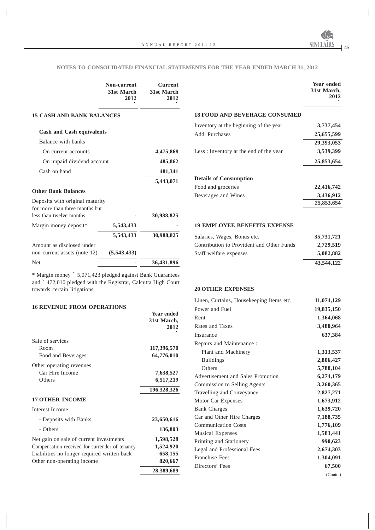|                                                                                              | Non-current<br>31st March<br>2012 | <b>Current</b><br>31st March<br>2012 |
|----------------------------------------------------------------------------------------------|-----------------------------------|--------------------------------------|
| <b>15 CASH AND BANK BALANCES</b>                                                             |                                   |                                      |
| <b>Cash and Cash equivalents</b>                                                             |                                   |                                      |
| Balance with banks                                                                           |                                   |                                      |
| On current accounts                                                                          |                                   | 4,475,868                            |
| On unpaid dividend account                                                                   |                                   | 485,862                              |
| Cash on hand                                                                                 |                                   | 481,341                              |
|                                                                                              |                                   | 5,443,071                            |
| <b>Other Bank Balances</b>                                                                   |                                   |                                      |
| Deposits with original maturity<br>for more than three months but<br>less than twelve months |                                   | 30,988,825                           |
| Margin money deposit*                                                                        | 5,543,433                         |                                      |
|                                                                                              | 5,543,433                         | 30,988,825                           |
| Amount as disclosed under<br>non-current assets (note 12)                                    | (5,543,433)                       |                                      |
| <b>Net</b>                                                                                   |                                   | 36,431,896                           |

\* Margin money ` 5,071,423 pledged against Bank Guarantees and ` 472,010 pledged with the Registrar, Calcutta High Court towards certain litigations.

#### **16 REVENUE FROM OPERATIONS**

|                                                                                                                                                                        | Year ended<br>31st March,<br>2012                          |
|------------------------------------------------------------------------------------------------------------------------------------------------------------------------|------------------------------------------------------------|
| Sale of services<br>Room<br>Food and Beverages                                                                                                                         | 117,396,570<br>64,776,010                                  |
| Other operating revenues<br>Car Hire Income<br>Others                                                                                                                  | 7,638,527<br>6,517,219<br>196,328,326                      |
| <b>17 OTHER INCOME</b>                                                                                                                                                 |                                                            |
| Interest Income<br>- Deposits with Banks<br>- Others                                                                                                                   | 23,650,616<br>136,803                                      |
| Net gain on sale of current investments<br>Compensation received for surrender of tenancy<br>Liabilities no longer required written back<br>Other non-operating income | 1,598,528<br>1,524,920<br>658,155<br>820,667<br>28,389,689 |
|                                                                                                                                                                        |                                                            |

|                                        | Year ended<br>31st March,<br>2012 |
|----------------------------------------|-----------------------------------|
| <b>18 FOOD AND BEVERAGE CONSUMED</b>   |                                   |
| Inventory at the beginning of the year | 3,737,454                         |
| Add: Purchases                         | 25,655,599                        |

| Add: Purchases                         | 25,655,599 |
|----------------------------------------|------------|
|                                        | 29,393,053 |
| Less: Inventory at the end of the year | 3,539,399  |
|                                        | 25,853,654 |
| <b>Details of Consumption</b>          |            |
| Food and groceries                     | 22,416,742 |
| Beverages and Wines                    | 3,436,912  |
|                                        | 25,853,654 |

## **19 EMPLOYEE BENEFITS EXPENSE**

| Salaries, Wages, Bonus etc.               | 35,731,721 |
|-------------------------------------------|------------|
| Contribution to Provident and Other Funds | 2,729,519  |
| Staff welfare expenses                    | 5,082,882  |
|                                           | 43,544,122 |

## **20 OTHER EXPENSES**

| Linen, Curtains, Housekeeping Items etc. | 11,074,129 |
|------------------------------------------|------------|
| Power and Fuel                           | 19,835,150 |
| Rent                                     | 1,364,068  |
| Rates and Taxes                          | 3,480,964  |
| Insurance                                | 637,384    |
| Repairs and Maintenance :                |            |
| Plant and Machinery                      | 1,313,537  |
| <b>Buildings</b>                         | 2,806,427  |
| Others                                   | 5,788,104  |
| Advertisement and Sales Promotion        | 6,274,179  |
| Commission to Selling Agents             | 3,260,365  |
| Travelling and Conveyance                | 2,827,271  |
| Motor Car Expenses                       | 1,673,912  |
| <b>Bank Charges</b>                      | 1,639,720  |
| Car and Other Hire Charges               | 7,188,735  |
| <b>Communication Costs</b>               | 1,776,109  |
| <b>Musical Expenses</b>                  | 1,583,441  |
| Printing and Stationery                  | 990,623    |
| Legal and Professional Fees              | 2,674,303  |
| <b>Franchise Fees</b>                    | 1,304,091  |
| Directors' Fees                          | 67,500     |
|                                          | (Contd.)   |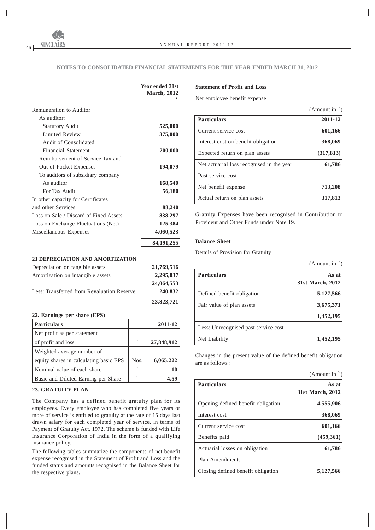**Year ended 31st**

|                                        | <b>March, 2012</b> |
|----------------------------------------|--------------------|
| Remuneration to Auditor                |                    |
| As auditor:                            |                    |
| <b>Statutory Audit</b>                 | 525,000            |
| <b>Limited Review</b>                  | 375,000            |
| Audit of Consolidated                  |                    |
| <b>Financial Statement</b>             | 200,000            |
| Reimbursement of Service Tax and       |                    |
| <b>Out-of-Pocket Expenses</b>          | 194,079            |
| To auditors of subsidiary company      |                    |
| As auditor                             | 168,540            |
| For Tax Audit                          | 56,180             |
| In other capacity for Certificates     |                    |
| and other Services                     | 88,240             |
| Loss on Sale / Discard of Fixed Assets | 838,297            |
| Loss on Exchange Fluctuations (Net)    | 125,384            |
| Miscellaneous Expenses                 | 4,060,523          |
|                                        | 84, 191, 255       |

#### **21 DEPRECIATION AND AMORTIZATION**

| Depreciation on tangible assets            | 21,769,516 |
|--------------------------------------------|------------|
| Amortization on intangible assets          | 2,295,037  |
|                                            | 24,064,553 |
| Less: Transferred from Revaluation Reserve | 240,832    |
|                                            | 23,823,721 |

#### **22. Earnings per share (EPS)**

| <b>Particulars</b>                     |                          | 2011-12    |
|----------------------------------------|--------------------------|------------|
| Net profit as per statement            |                          |            |
| of profit and loss                     | $\overline{\phantom{a}}$ | 27,848,912 |
| Weighted average number of             |                          |            |
| equity shares in calculating basic EPS | Nos.                     | 6,065,222  |
| Nominal value of each share            |                          | 10         |
| Basic and Diluted Earning per Share    |                          |            |

## **23. GRATUITY PLAN**

The Company has a defined benefit gratuity plan for its employees. Every employee who has completed five years or more of service is entitled to gratuity at the rate of 15 days last drawn salary for each completed year of service, in terms of Payment of Gratuity Act, 1972. The scheme is funded with Life Insurance Corporation of India in the form of a qualifying insurance policy.

The following tables summarize the components of net benefit expense recognised in the Statement of Profit and Loss and the funded status and amounts recognised in the Balance Sheet for the respective plans.

#### **Statement of Profit and Loss**

Net employee benefit expense

|                                           | танночны н<br>$\overline{\phantom{a}}$ |
|-------------------------------------------|----------------------------------------|
| <b>Particulars</b>                        | 2011-12                                |
| Current service cost                      | 601,166                                |
| Interest cost on benefit obligation       | 368,069                                |
| Expected return on plan assets            | (317, 813)                             |
| Net actuarial loss recognised in the year | 61,786                                 |
| Past service cost                         |                                        |
| Net benefit expense                       | 713,208                                |
| Actual return on plan assets              | 317,813                                |

 $(\Lambda_{\text{mount in}})$ 

Gratuity Expenses have been recognised in Contribution to Provident and Other Funds under Note 19.

#### **Balance Sheet**

Details of Provision for Gratuity

|                                      | (Amount in ')             |
|--------------------------------------|---------------------------|
| Particulars                          | As at<br>31st March, 2012 |
| Defined benefit obligation           | 5,127,566                 |
| Fair value of plan assets            | 3,675,371                 |
|                                      | 1,452,195                 |
| Less: Unrecognised past service cost |                           |
| Net Liability                        | 1,452,195                 |

Changes in the present value of the defined benefit obligation are as follows :

| (Amount in ')                      |                  |  |
|------------------------------------|------------------|--|
| <b>Particulars</b>                 | As at $\vert$    |  |
|                                    | 31st March, 2012 |  |
| Opening defined benefit obligation | 4,555,906        |  |
| Interest cost                      | 368,069          |  |
| Current service cost               | 601,166          |  |
| Benefits paid                      | (459,361)        |  |
| Actuarial losses on obligation     | 61,786           |  |
| Plan Amendments                    |                  |  |
| Closing defined benefit obligation | 5,127,566        |  |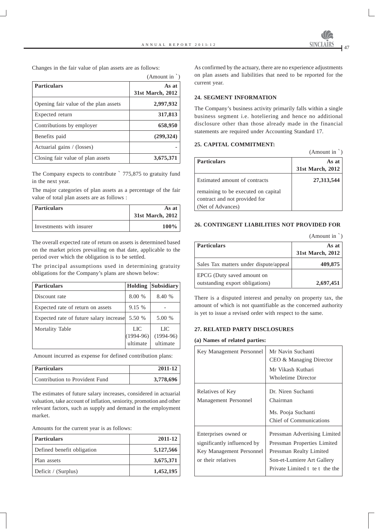Changes in the fair value of plan assets are as follows:

|                                       | (Amount in ')             |
|---------------------------------------|---------------------------|
| <b>Particulars</b>                    | As at<br>31st March, 2012 |
| Opening fair value of the plan assets | 2,997,932                 |
| Expected return                       | 317,813                   |
| Contributions by employer             | 658,950                   |
| Benefits paid                         | (299, 324)                |
| Actuarial gains / (losses)            |                           |
| Closing fair value of plan assets     | 3,675,371                 |

The Company expects to contribute ` 775,875 to gratuity fund in the next year.

The major categories of plan assets as a percentage of the fair value of total plan assets are as follows :

| <b>Particulars</b>       | As at            |
|--------------------------|------------------|
|                          | 31st March, 2012 |
| Investments with insurer | $100\%$          |

The overall expected rate of return on assets is determined based on the market prices prevailing on that date, applicable to the period over which the obligation is to be settled.

The principal assumptions used in determining gratuity obligations for the Company's plans are shown below:

| <b>Particulars</b>                      | Holding                                     | Subsidiary                     |  |
|-----------------------------------------|---------------------------------------------|--------------------------------|--|
| Discount rate                           | 8.00 %                                      | 8.40 %                         |  |
| Expected rate of return on assets       | 9.15 %                                      |                                |  |
| Expected rate of future salary increase | 5.50 %                                      | 5.00 %                         |  |
| Mortality Table                         | LIC <sup>.</sup><br>$(1994-96)$<br>ultimate | LIC<br>$(1994-96)$<br>ultimate |  |

Amount incurred as expense for defined contribution plans:

| <b>Particulars</b>             | 2011-12   |
|--------------------------------|-----------|
| Contribution to Provident Fund | 3,778,696 |

The estimates of future salary increases, considered in actuarial valuation, take account of inflation, seniority, promotion and other relevant factors, such as supply and demand in the employment market.

Amounts for the current year is as follows:

| <b>Particulars</b>         | 2011-12   |
|----------------------------|-----------|
| Defined benefit obligation | 5,127,566 |
| Plan assets                | 3,675,371 |
| Deficit / $(Surplus)$      | 1,452,195 |

As confirmed by the actuary, there are no experience adjustments on plan assets and liabilities that need to be reported for the current year.

#### **24. SEGMENT INFORMATION**

The Company's business activity primarily falls within a single business segment i.e. hoteliering and hence no additional disclosure other than those already made in the financial statements are required under Accounting Standard 17.

#### **25. CAPITAL COMMITMENT:**

| (Amount in ')                                                                             |                           |  |
|-------------------------------------------------------------------------------------------|---------------------------|--|
| <b>Particulars</b>                                                                        | As at<br>31st March, 2012 |  |
| Estimated amount of contracts                                                             | 27,313,544                |  |
| remaining to be executed on capital<br>contract and not provided for<br>(Net of Advances) |                           |  |

## **26. CONTINGENT LIABILITIES NOT PROVIDED FOR**

|                                        | (Amount in ')    |
|----------------------------------------|------------------|
| <b>Particulars</b>                     | As at            |
|                                        | 31st March, 2012 |
| Sales Tax matters under dispute/appeal | 409,875          |
| EPCG (Duty saved amount on             |                  |
| outstanding export obligations)        | 2,697,451        |

There is a disputed interest and penalty on property tax, the amount of which is not quantifiable as the concerned authority is yet to issue a revised order with respect to the same.

### **27. RELATED PARTY DISCLOSURES**

**(a) Names of related parties:**

| Key Management Personnel                                                                              | Mr Navin Suchanti<br>CEO & Managing Director                                                                                                           |
|-------------------------------------------------------------------------------------------------------|--------------------------------------------------------------------------------------------------------------------------------------------------------|
|                                                                                                       | Mr Vikash Kuthari<br>Wholetime Director                                                                                                                |
| Relatives of Key<br>Management Personnel                                                              | Dr. Niren Suchanti<br>Chairman<br>Ms. Pooja Suchanti<br>Chief of Communications                                                                        |
| Enterprises owned or<br>significantly influenced by<br>Key Management Personnel<br>or their relatives | Pressman Advertising Limited<br>Pressman Properties Limited<br>Pressman Realty Limited<br>Son-et-Lumiere Art Gallery<br>Private Limited t te t the the |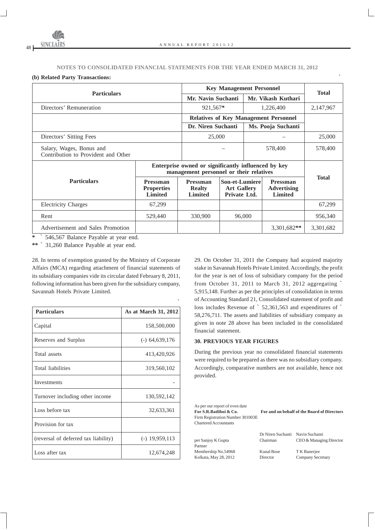#### **(b) Related Party Transactions:** `

| <b>Particulars</b>                                              |                                                                                                | <b>Key Management Personnel</b>                    |                                                      |                    |                                                         | <b>Total</b> |  |
|-----------------------------------------------------------------|------------------------------------------------------------------------------------------------|----------------------------------------------------|------------------------------------------------------|--------------------|---------------------------------------------------------|--------------|--|
|                                                                 |                                                                                                | Mr. Navin Suchanti                                 |                                                      | Mr. Vikash Kuthari |                                                         |              |  |
| Directors' Remuneration                                         | 921,567*                                                                                       |                                                    |                                                      |                    | 1,226,400                                               | 2,147,967    |  |
|                                                                 |                                                                                                | <b>Relatives of Key Management Personnel</b>       |                                                      |                    |                                                         |              |  |
|                                                                 |                                                                                                | Dr. Niren Suchanti                                 |                                                      |                    | Ms. Pooja Suchanti                                      |              |  |
| Directors' Sitting Fees                                         |                                                                                                | 25,000                                             |                                                      |                    |                                                         | 25,000       |  |
| Salary, Wages, Bonus and<br>Contribution to Provident and Other |                                                                                                |                                                    |                                                      | 578,400            |                                                         | 578,400      |  |
|                                                                 | Enterprise owned or significantly influenced by key<br>management personnel or their relatives |                                                    |                                                      |                    |                                                         |              |  |
| <b>Particulars</b>                                              | <b>Pressman</b><br><b>Properties</b><br><b>Limited</b>                                         | <b>Pressman</b><br><b>Realty</b><br><b>Limited</b> | Son-et-Lumiere<br><b>Art Gallery</b><br>Private Ltd. |                    | <b>Pressman</b><br><b>Advertising</b><br><b>Limited</b> | <b>Total</b> |  |
| <b>Electricity Charges</b>                                      | 67,299                                                                                         |                                                    |                                                      |                    |                                                         | 67,299       |  |
| Rent                                                            | 529,440                                                                                        | 330,900                                            | 96,000                                               |                    |                                                         | 956,340      |  |
| Advertisement and Sales Promotion                               |                                                                                                |                                                    |                                                      |                    | 3,301,682**                                             | 3,301,682    |  |

**\*** ` 546,567 Balance Payable at year end.

**\*\*** ` 31,260 Balance Payable at year end.

28. In terms of exemption granted by the Ministry of Corporate Affairs (MCA) regarding attachment of financial statements of its subsidiary companies vide its circular dated February 8, 2011, following information has been given for the subsidiary company, Savannah Hotels Private Limited.

| <b>Particulars</b>                   | As at March 31, 2012 |
|--------------------------------------|----------------------|
| Capital                              | 158,500,000          |
| Reserves and Surplus                 | $(-)$ 64,639,176     |
| Total assets                         | 413,420,926          |
| Total liabilities                    | 319,560,102          |
| Investments                          |                      |
| Turnover including other income      | 130,592,142          |
| Loss before tax                      | 32,633,361           |
| Provision for tax                    |                      |
| (reversal of deferred tax liability) | $(-)$ 19,959,113     |
| Loss after tax                       | 12,674,248           |

29. On October 31, 2011 the Company had acquired majority stake in Savannah Hotels Private Limited. Accordingly, the profit for the year is net of loss of subsidiary company for the period from October 31, 2011 to March 31, 2012 aggregating 5,915,148. Further as per the principles of consolidation in terms of Accounting Standard 21, Consolidated statement of profit and loss includes Revenue of ` 52,361,563 and expenditures of ` 58,276,711. The assets and liabilities of subsidiary company as given in note 28 above has been included in the consolidated financial statement.

## **30. PREVIOUS YEAR FIGURES**

During the previous year no consolidated financial statements were required to be prepared as there was no subsidiary company. Accordingly, comparative numbers are not available, hence not provided.

| As per our report of even date<br>For S.R.Batliboi & Co.<br>Firm Registration Number 301003E<br><b>Chartered Accountants</b> | For and on behalf of the Board of Directors  |                                   |
|------------------------------------------------------------------------------------------------------------------------------|----------------------------------------------|-----------------------------------|
| per Sanjoy K Gupta<br>Partner                                                                                                | Dr Niren Suchanti Navin Suchanti<br>Chairman | CEO & Managing Director           |
| Membership No.54968<br>Kolkata, May 28, 2012                                                                                 | Kunal Bose<br>Director                       | T K Banerjee<br>Company Secretary |